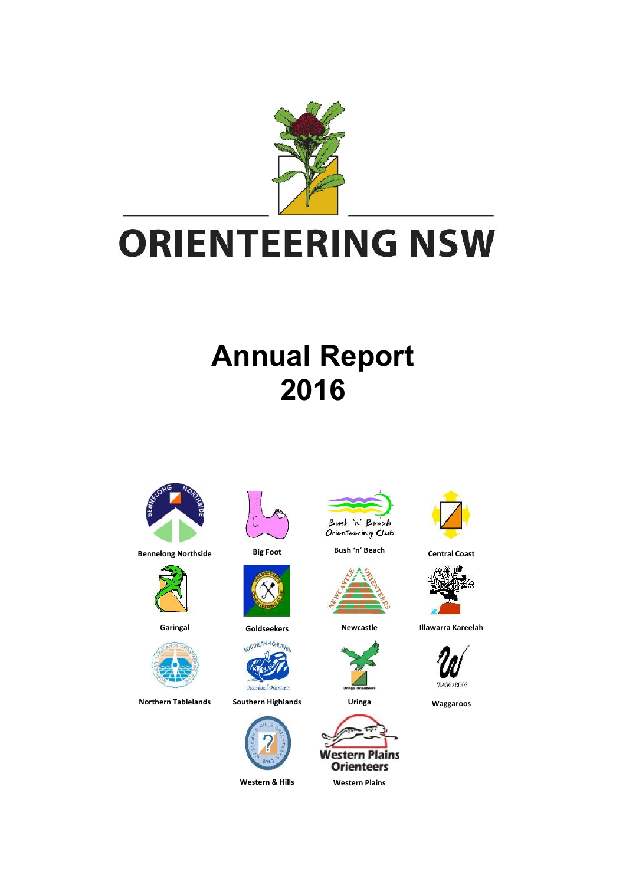

# **Annual Report 2016**















**Northern Tablelands Southern Highlands Uringa Waggaroos**





**Bennelong Northside Big Foot Bush 'n' Beach Central Coast**











**Garingal Goldseekers Newcastle Illawarra Kareelah**

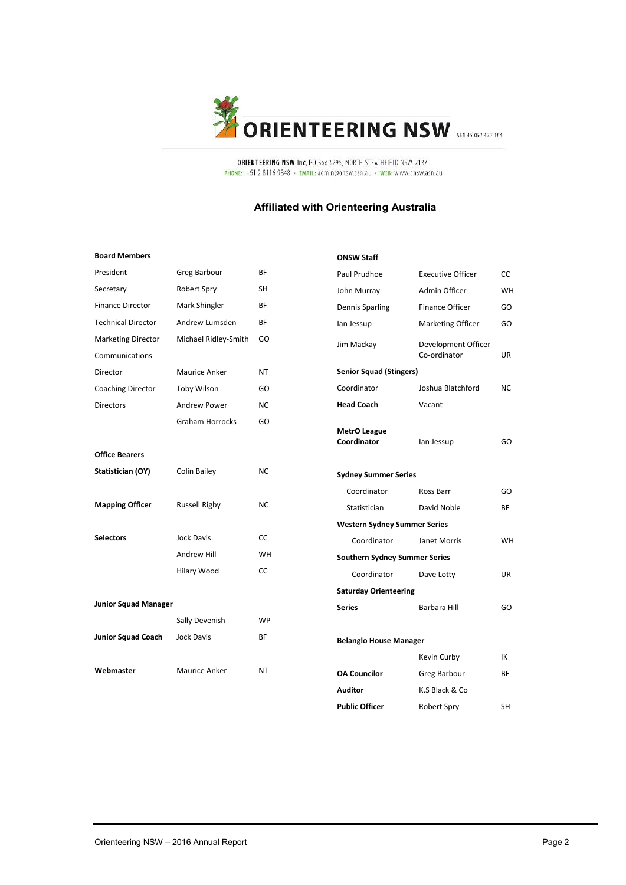

ORIENTEERING NSW Inc. PO Box 3295, NORTH STRATHFIELD NSW 2137 PHONE: +61 2 8116 9848 · EMAIL: admin@onsw.asn.au · WEB: www.onsw.asn.au

#### **Affiliated with Orienteering Australia**

**ONSW Staff**

#### **Board Members**

| President                   | <b>Greg Barbour</b>  | ΒF        |
|-----------------------------|----------------------|-----------|
| Secretary                   | Robert Spry          | <b>SH</b> |
| <b>Finance Director</b>     | Mark Shingler        | BF        |
| <b>Technical Director</b>   | Andrew Lumsden       | BF        |
| <b>Marketing Director</b>   | Michael Ridley-Smith | GO        |
| Communications              |                      |           |
| Director                    | Maurice Anker        | ΝT        |
| Coaching Director           | <b>Toby Wilson</b>   | GO        |
| <b>Directors</b>            | Andrew Power         | NC        |
|                             | Graham Horrocks      | GO        |
|                             |                      |           |
| <b>Office Bearers</b>       |                      |           |
| Statistician (OY)           | Colin Bailey         | NC        |
|                             |                      |           |
| <b>Mapping Officer</b>      | <b>Russell Rigby</b> | NC        |
|                             |                      |           |
| <b>Selectors</b>            | <b>Jock Davis</b>    | CC        |
|                             | Andrew Hill          | WH        |
|                             | Hilary Wood          | СC        |
|                             |                      |           |
| <b>Junior Squad Manager</b> |                      |           |
|                             | Sally Devenish       | WP        |
| <b>Junior Squad Coach</b>   | <b>Jock Davis</b>    | ΒF        |
|                             |                      |           |
| Webmaster                   | Maurice Anker        | NT        |
|                             |                      |           |

| Paul Prudhoe                         | <b>Executive Officer</b>            | CC        |
|--------------------------------------|-------------------------------------|-----------|
| John Murray                          | Admin Officer                       | <b>WH</b> |
| Dennis Sparling                      | <b>Finance Officer</b>              | GO        |
| lan Jessup                           | Marketing Officer                   | GO        |
| Jim Mackay                           | Development Officer<br>Co-ordinator | UR        |
| <b>Senior Squad (Stingers)</b>       |                                     |           |
| Coordinator                          | Joshua Blatchford                   | NC        |
| <b>Head Coach</b>                    | Vacant                              |           |
| <b>MetrO League</b><br>Coordinator   | lan Jessup                          | GO        |
| <b>Sydney Summer Series</b>          |                                     |           |
| Coordinator                          | Ross Barr                           | GO        |
| Statistician                         | David Noble                         | <b>BF</b> |
| <b>Western Sydney Summer Series</b>  |                                     |           |
| Coordinator                          | Janet Morris                        | WH        |
| <b>Southern Sydney Summer Series</b> |                                     |           |
| Coordinator                          | Dave Lotty                          | <b>UR</b> |
| <b>Saturday Orienteering</b>         |                                     |           |
| <b>Series</b>                        | Barbara Hill                        | GO        |
| <b>Belanglo House Manager</b>        |                                     |           |
|                                      | Kevin Curby                         | IΚ        |
| <b>OA Councilor</b>                  | Greg Barbour                        | BF        |
| Auditor                              | K.S Black & Co                      |           |
| <b>Public Officer</b>                | Robert Spry                         | SΗ        |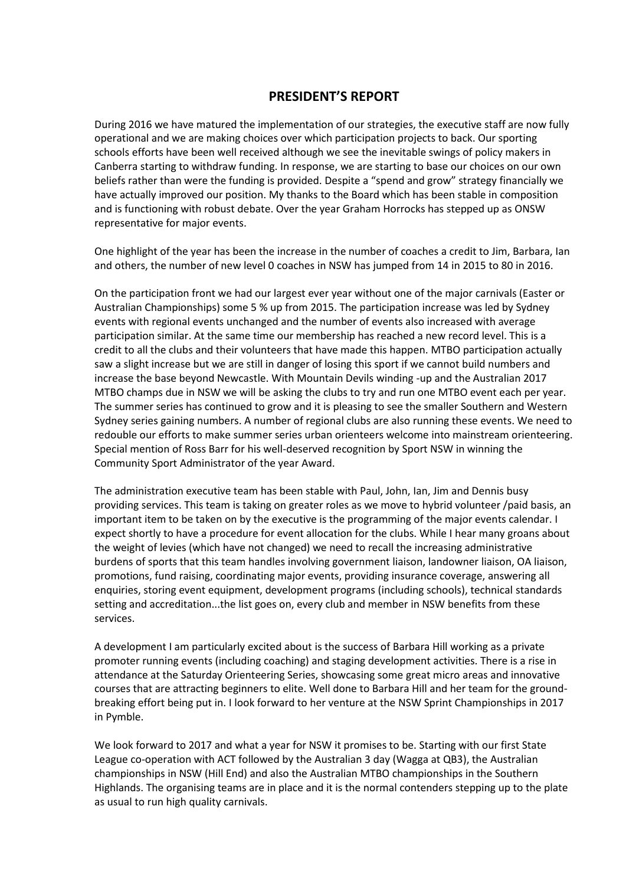# **PRESIDENT'S REPORT**

During 2016 we have matured the implementation of our strategies, the executive staff are now fully operational and we are making choices over which participation projects to back. Our sporting schools efforts have been well received although we see the inevitable swings of policy makers in Canberra starting to withdraw funding. In response, we are starting to base our choices on our own beliefs rather than were the funding is provided. Despite a "spend and grow" strategy financially we have actually improved our position. My thanks to the Board which has been stable in composition and is functioning with robust debate. Over the year Graham Horrocks has stepped up as ONSW representative for major events.

One highlight of the year has been the increase in the number of coaches a credit to Jim, Barbara, Ian and others, the number of new level 0 coaches in NSW has jumped from 14 in 2015 to 80 in 2016.

On the participation front we had our largest ever year without one of the major carnivals (Easter or Australian Championships) some 5 % up from 2015. The participation increase was led by Sydney events with regional events unchanged and the number of events also increased with average participation similar. At the same time our membership has reached a new record level. This is a credit to all the clubs and their volunteers that have made this happen. MTBO participation actually saw a slight increase but we are still in danger of losing this sport if we cannot build numbers and increase the base beyond Newcastle. With Mountain Devils winding -up and the Australian 2017 MTBO champs due in NSW we will be asking the clubs to try and run one MTBO event each per year. The summer series has continued to grow and it is pleasing to see the smaller Southern and Western Sydney series gaining numbers. A number of regional clubs are also running these events. We need to redouble our efforts to make summer series urban orienteers welcome into mainstream orienteering. Special mention of Ross Barr for his well-deserved recognition by Sport NSW in winning the Community Sport Administrator of the year Award.

The administration executive team has been stable with Paul, John, Ian, Jim and Dennis busy providing services. This team is taking on greater roles as we move to hybrid volunteer /paid basis, an important item to be taken on by the executive is the programming of the major events calendar. I expect shortly to have a procedure for event allocation for the clubs. While I hear many groans about the weight of levies (which have not changed) we need to recall the increasing administrative burdens of sports that this team handles involving government liaison, landowner liaison, OA liaison, promotions, fund raising, coordinating major events, providing insurance coverage, answering all enquiries, storing event equipment, development programs (including schools), technical standards setting and accreditation...the list goes on, every club and member in NSW benefits from these services.

A development I am particularly excited about is the success of Barbara Hill working as a private promoter running events (including coaching) and staging development activities. There is a rise in attendance at the Saturday Orienteering Series, showcasing some great micro areas and innovative courses that are attracting beginners to elite. Well done to Barbara Hill and her team for the ground breaking effort being put in. I look forward to her venture at the NSW Sprint Championships in 2017 in Pymble.

We look forward to 2017 and what a year for NSW it promises to be. Starting with our first State League co-operation with ACT followed by the Australian 3 day (Wagga at QB3), the Australian championships in NSW (Hill End) and also the Australian MTBO championships in the Southern Highlands. The organising teams are in place and it is the normal contenders stepping up to the plate as usual to run high quality carnivals.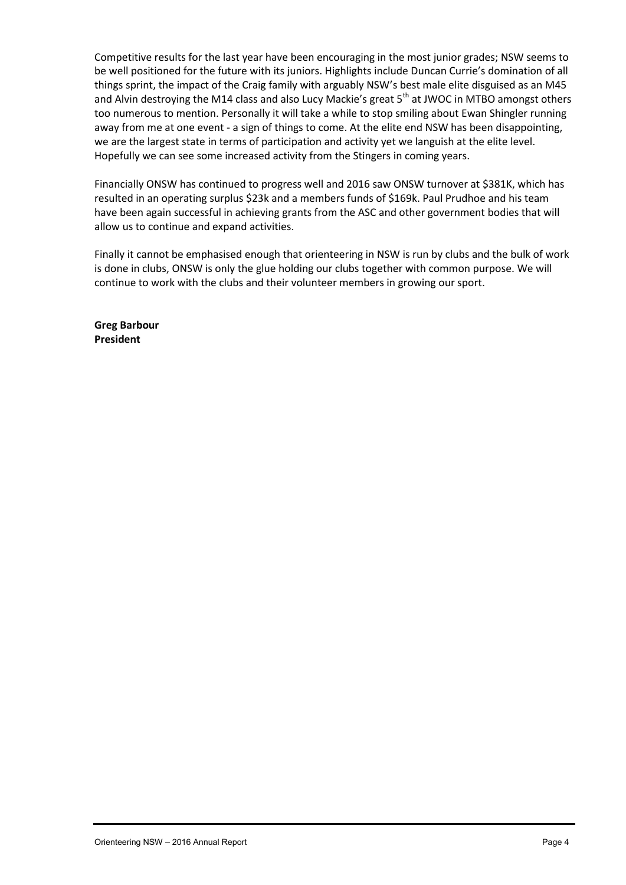Competitive results for the last year have been encouraging in the most junior grades; NSW seems to be well positioned for the future with its juniors. Highlights include Duncan Currie's domination of all things sprint, the impact of the Craig family with arguably NSW's best male elite disguised as an M45 and Alvin destroying the M14 class and also Lucy Mackie's great  $5<sup>th</sup>$  at JWOC in MTBO amongst others too numerous to mention. Personally it will take a while to stop smiling about Ewan Shingler running away from me at one event - a sign of things to come. At the elite end NSW has been disappointing, we are the largest state in terms of participation and activity yet we languish at the elite level. Hopefully we can see some increased activity from the Stingers in coming years.

Financially ONSW has continued to progress well and 2016 saw ONSW turnover at \$381K, which has resulted in an operating surplus \$23k and a members funds of \$169k. Paul Prudhoe and his team have been again successful in achieving grants from the ASC and other government bodies that will allow us to continue and expand activities.

Finally it cannot be emphasised enough that orienteering in NSW is run by clubs and the bulk of work is done in clubs, ONSW is only the glue holding our clubs together with common purpose. We will continue to work with the clubs and their volunteer members in growing our sport.

**Greg Barbour President**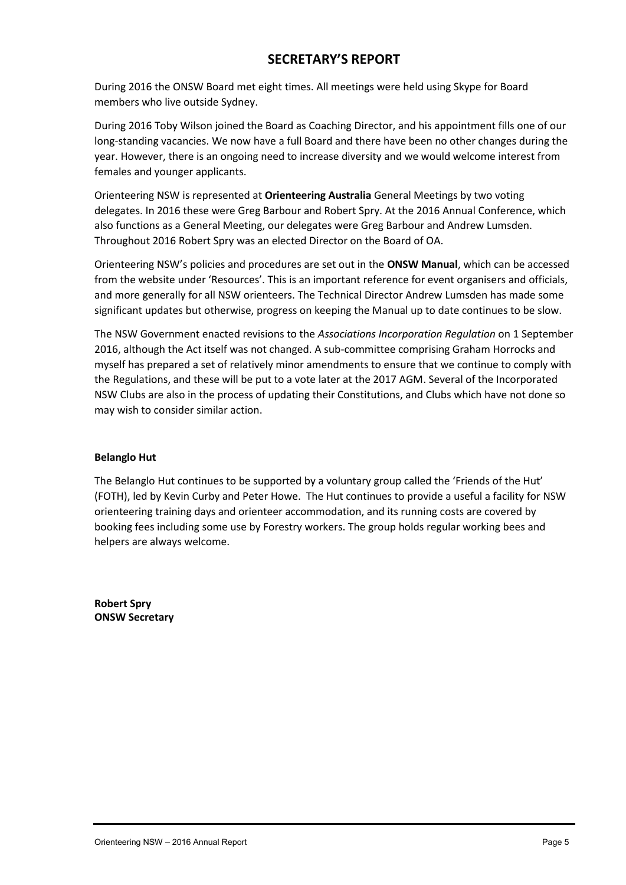# **SECRETARY'S REPORT**

During 2016 the ONSW Board met eight times. All meetings were held using Skype for Board members who live outside Sydney.

During 2016 Toby Wilson joined the Board as Coaching Director, and his appointment fills one of our long-standing vacancies. We now have a full Board and there have been no other changes during the year. However, there is an ongoing need to increase diversity and we would welcome interest from females and younger applicants.

Orienteering NSW is represented at **Orienteering Australia** General Meetings by two voting delegates. In 2016 these were Greg Barbour and Robert Spry. At the 2016 Annual Conference, which also functions as a General Meeting, our delegates were Greg Barbour and Andrew Lumsden. Throughout 2016 Robert Spry was an elected Director on the Board of OA.

Orienteering NSW's policies and procedures are set out in the **ONSW Manual**, which can be accessed from the website under 'Resources'. This is an important reference for event organisers and officials, and more generally for all NSW orienteers. The Technical Director Andrew Lumsden has made some significant updates but otherwise, progress on keeping the Manual up to date continues to be slow.

The NSW Government enacted revisions to the *Associations Incorporation Regulation* on 1 September 2016, although the Act itself was not changed. A sub-committee comprising Graham Horrocks and myself has prepared a set of relatively minor amendments to ensure that we continue to comply with the Regulations, and these will be put to a vote later at the 2017 AGM. Several of the Incorporated NSW Clubs are also in the process of updating their Constitutions, and Clubs which have not done so may wish to consider similar action.

#### **Belanglo Hut**

The Belanglo Hut continues to be supported by a voluntary group called the 'Friends of the Hut' (FOTH), led by Kevin Curby and Peter Howe. The Hut continues to provide a useful a facility for NSW orienteering training days and orienteer accommodation, and its running costs are covered by booking fees including some use by Forestry workers. The group holds regular working bees and helpers are always welcome.

**Robert Spry ONSW Secretary**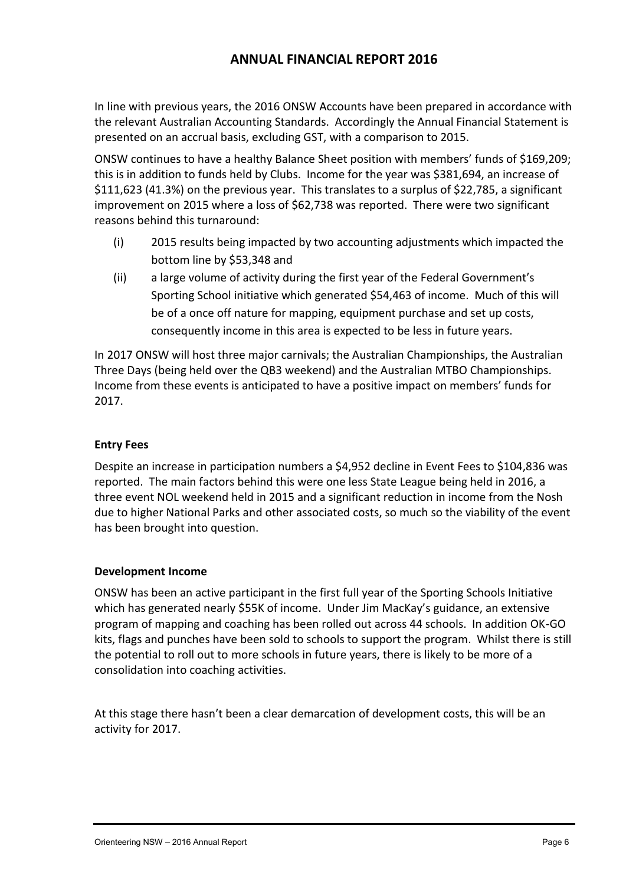# **ANNUAL FINANCIAL REPORT 2016**

In line with previous years, the 2016 ONSW Accounts have been prepared in accordance with the relevant Australian Accounting Standards. Accordingly the Annual Financial Statement is presented on an accrual basis, excluding GST, with a comparison to 2015.

ONSW continues to have a healthy Balance Sheet position with members' funds of \$169,209; this is in addition to funds held by Clubs. Income for the year was \$381,694, an increase of \$111,623 (41.3%) on the previous year. This translates to a surplus of \$22,785, a significant improvement on 2015 where a loss of \$62,738 was reported. There were two significant reasons behind this turnaround:

- (i) 2015 results being impacted by two accounting adjustments which impacted the bottom line by \$53,348 and
- (ii) a large volume of activity during the first year of the Federal Government's Sporting School initiative which generated \$54,463 of income. Much of this will be of a once off nature for mapping, equipment purchase and set up costs, consequently income in this area is expected to be less in future years.

In 2017 ONSW will host three major carnivals; the Australian Championships, the Australian Three Days (being held over the QB3 weekend) and the Australian MTBO Championships. Income from these events is anticipated to have a positive impact on members' funds for 2017.

## **Entry Fees**

Despite an increase in participation numbers a \$4,952 decline in Event Fees to \$104,836 was reported. The main factors behind this were one less State League being held in 2016, a three event NOL weekend held in 2015 and a significant reduction in income from the Nosh due to higher National Parks and other associated costs, so much so the viability of the event has been brought into question.

## **Development Income**

ONSW has been an active participant in the first full year of the Sporting Schools Initiative which has generated nearly \$55K of income. Under Jim MacKay's guidance, an extensive program of mapping and coaching has been rolled out across 44 schools. In addition OK-GO kits, flags and punches have been sold to schools to support the program. Whilst there is still the potential to roll out to more schools in future years, there is likely to be more of a consolidation into coaching activities.

At this stage there hasn't been a clear demarcation of development costs, this will be an activity for 2017.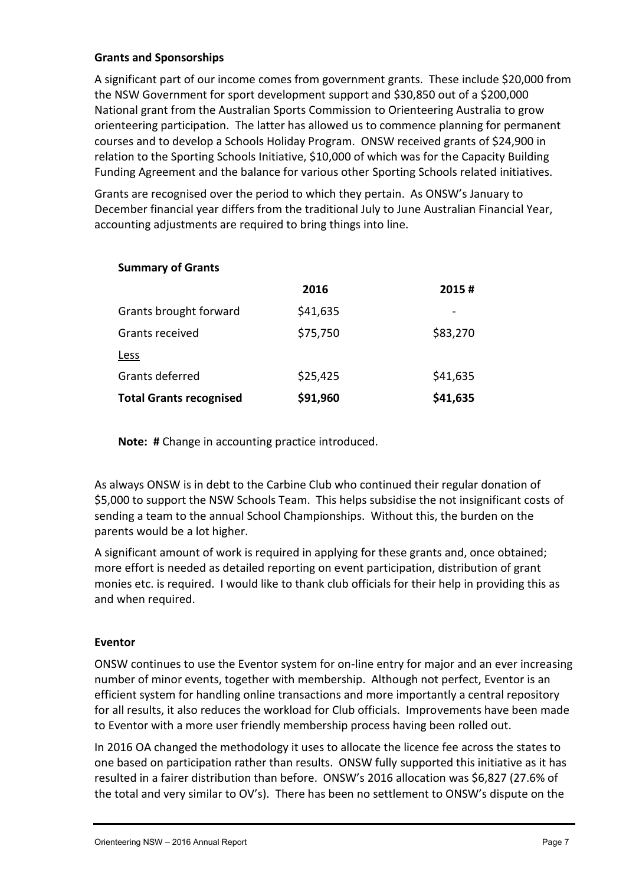## **Grants and Sponsorships**

A significant part of our income comes from government grants. These include \$20,000 from the NSW Government for sport development support and \$30,850 out of a \$200,000 National grant from the Australian Sports Commission to Orienteering Australia to grow orienteering participation. The latter has allowed us to commence planning for permanent courses and to develop a Schools Holiday Program. ONSW received grants of \$24,900 in relation to the Sporting Schools Initiative, \$10,000 of which was for the Capacity Building Funding Agreement and the balance for various other Sporting Schools related initiatives.

Grants are recognised over the period to which they pertain. As ONSW's January to December financial year differs from the traditional July to June Australian Financial Year, accounting adjustments are required to bring things into line.

|                                | 2016     | 2015#    |
|--------------------------------|----------|----------|
| Grants brought forward         | \$41,635 |          |
| Grants received                | \$75,750 | \$83,270 |
| <b>Less</b>                    |          |          |
| Grants deferred                | \$25,425 | \$41,635 |
| <b>Total Grants recognised</b> | \$91,960 | \$41,635 |

**Note: #** Change in accounting practice introduced.

As always ONSW is in debt to the Carbine Club who continued their regular donation of \$5,000 to support the NSW Schools Team. This helps subsidise the not insignificant costs of sending a team to the annual School Championships. Without this, the burden on the parents would be a lot higher.

A significant amount of work is required in applying for these grants and, once obtained; more effort is needed as detailed reporting on event participation, distribution of grant monies etc. is required. I would like to thank club officials for their help in providing this as and when required.

## **Eventor**

ONSW continues to use the Eventor system for on-line entry for major and an ever increasing number of minor events, together with membership. Although not perfect, Eventor is an efficient system for handling online transactions and more importantly a central repository for all results, it also reduces the workload for Club officials. Improvements have been made to Eventor with a more user friendly membership process having been rolled out.

In 2016 OA changed the methodology it uses to allocate the licence fee across the states to one based on participation rather than results. ONSW fully supported this initiative as it has resulted in a fairer distribution than before. ONSW's 2016 allocation was \$6,827 (27.6% of the total and very similar to OV's). There has been no settlement to ONSW's dispute on the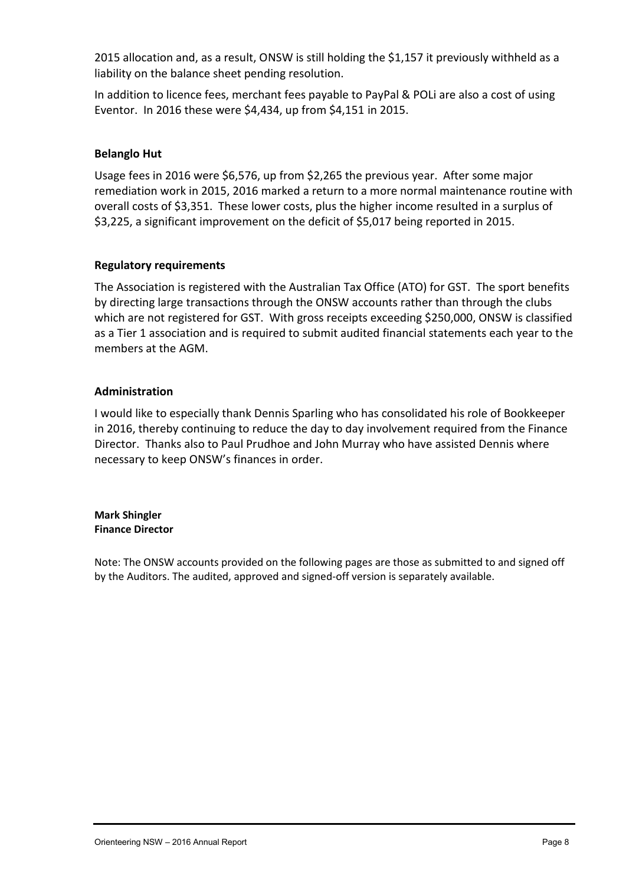2015 allocation and, as a result, ONSW is still holding the \$1,157 it previously withheld as a liability on the balance sheet pending resolution.

In addition to licence fees, merchant fees payable to PayPal & POLi are also a cost of using Eventor. In 2016 these were \$4,434, up from \$4,151 in 2015.

## **Belanglo Hut**

Usage fees in 2016 were \$6,576, up from \$2,265 the previous year. After some major remediation work in 2015, 2016 marked a return to a more normal maintenance routine with overall costs of \$3,351. These lower costs, plus the higher income resulted in a surplus of \$3,225, a significant improvement on the deficit of \$5,017 being reported in 2015.

## **Regulatory requirements**

The Association is registered with the Australian Tax Office (ATO) for GST. The sport benefits by directing large transactions through the ONSW accounts rather than through the clubs which are not registered for GST. With gross receipts exceeding \$250,000, ONSW is classified as a Tier 1 association and is required to submit audited financial statements each year to the members at the AGM.

## **Administration**

I would like to especially thank Dennis Sparling who has consolidated his role of Bookkeeper in 2016, thereby continuing to reduce the day to day involvement required from the Finance Director. Thanks also to Paul Prudhoe and John Murray who have assisted Dennis where necessary to keep ONSW's finances in order.

#### **Mark Shingler Finance Director**

Note: The ONSW accounts provided on the following pages are those as submitted to and signed off by the Auditors. The audited, approved and signed-off version is separately available.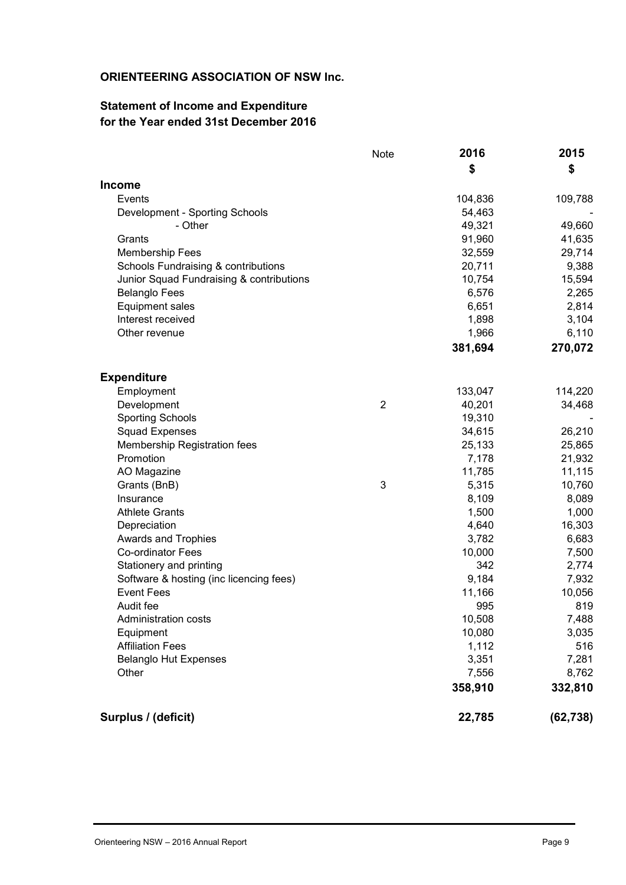# **ORIENTEERING ASSOCIATION OF NSW Inc.**

# **Statement of Income and Expenditure for the Year ended 31st December 2016**

|                                          | <b>Note</b>    | 2016    | 2015      |
|------------------------------------------|----------------|---------|-----------|
|                                          |                | \$      | \$        |
| <b>Income</b>                            |                |         |           |
| Events                                   |                | 104,836 | 109,788   |
| Development - Sporting Schools           |                | 54,463  |           |
| - Other                                  |                | 49,321  | 49,660    |
| Grants                                   |                | 91,960  | 41,635    |
| <b>Membership Fees</b>                   |                | 32,559  | 29,714    |
| Schools Fundraising & contributions      |                | 20,711  | 9,388     |
| Junior Squad Fundraising & contributions |                | 10,754  | 15,594    |
| <b>Belanglo Fees</b>                     |                | 6,576   | 2,265     |
| <b>Equipment sales</b>                   |                | 6,651   | 2,814     |
| Interest received                        |                | 1,898   | 3,104     |
| Other revenue                            |                | 1,966   | 6,110     |
|                                          |                | 381,694 | 270,072   |
| <b>Expenditure</b>                       |                |         |           |
| Employment                               |                | 133,047 | 114,220   |
| Development                              | $\overline{2}$ | 40,201  | 34,468    |
| <b>Sporting Schools</b>                  |                | 19,310  |           |
| <b>Squad Expenses</b>                    |                | 34,615  | 26,210    |
| Membership Registration fees             |                | 25,133  | 25,865    |
| Promotion                                |                | 7,178   | 21,932    |
| AO Magazine                              |                | 11,785  | 11,115    |
| Grants (BnB)                             | 3              | 5,315   | 10,760    |
| Insurance                                |                | 8,109   | 8,089     |
| <b>Athlete Grants</b>                    |                | 1,500   | 1,000     |
| Depreciation                             |                | 4,640   | 16,303    |
| Awards and Trophies                      |                | 3,782   | 6,683     |
| <b>Co-ordinator Fees</b>                 |                | 10,000  | 7,500     |
| Stationery and printing                  |                | 342     | 2,774     |
| Software & hosting (inc licencing fees)  |                | 9,184   | 7,932     |
| <b>Event Fees</b>                        |                | 11,166  | 10,056    |
| Audit fee                                |                | 995     | 819       |
| <b>Administration costs</b>              |                | 10,508  | 7,488     |
| Equipment                                |                | 10,080  | 3,035     |
| <b>Affiliation Fees</b>                  |                | 1,112   | 516       |
| <b>Belanglo Hut Expenses</b>             |                | 3,351   | 7,281     |
| Other                                    |                | 7,556   | 8,762     |
|                                          |                | 358,910 | 332,810   |
| Surplus / (deficit)                      |                | 22,785  | (62, 738) |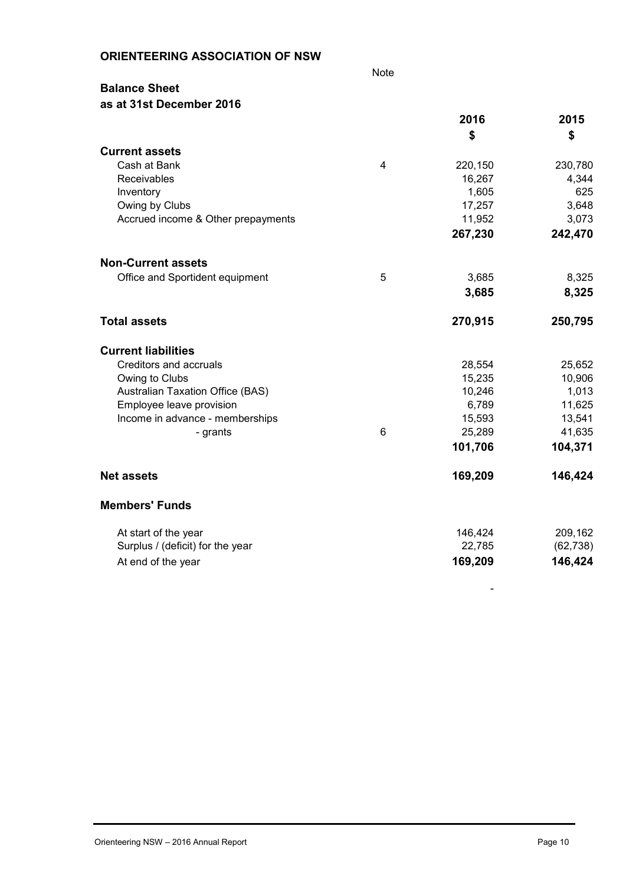| <b>ORIENTEERING ASSOCIATION OF NSW</b> |  |
|----------------------------------------|--|
|----------------------------------------|--|

Note

# **Balance Sheet as at 31st December 2016**

|                                         |                | 2016    | 2015      |
|-----------------------------------------|----------------|---------|-----------|
|                                         |                | \$      | \$        |
| <b>Current assets</b>                   |                |         |           |
| Cash at Bank                            | $\overline{4}$ | 220,150 | 230,780   |
| Receivables                             |                | 16,267  | 4,344     |
| Inventory                               |                | 1,605   | 625       |
| Owing by Clubs                          |                | 17,257  | 3,648     |
| Accrued income & Other prepayments      |                | 11,952  | 3,073     |
|                                         |                | 267,230 | 242,470   |
| <b>Non-Current assets</b>               |                |         |           |
| Office and Sportident equipment         | 5              | 3,685   | 8,325     |
|                                         |                | 3,685   | 8,325     |
| <b>Total assets</b>                     |                | 270,915 | 250,795   |
| <b>Current liabilities</b>              |                |         |           |
| Creditors and accruals                  |                | 28,554  | 25,652    |
| Owing to Clubs                          |                | 15,235  | 10,906    |
| <b>Australian Taxation Office (BAS)</b> |                | 10,246  | 1,013     |
| Employee leave provision                |                | 6,789   | 11,625    |
| Income in advance - memberships         |                | 15,593  | 13,541    |
| - grants                                | $6\phantom{1}$ | 25,289  | 41,635    |
|                                         |                | 101,706 | 104,371   |
| <b>Net assets</b>                       |                | 169,209 | 146,424   |
| <b>Members' Funds</b>                   |                |         |           |
| At start of the year                    |                | 146,424 | 209,162   |
| Surplus / (deficit) for the year        |                | 22,785  | (62, 738) |
| At end of the year                      |                | 169,209 | 146,424   |
|                                         |                |         |           |

-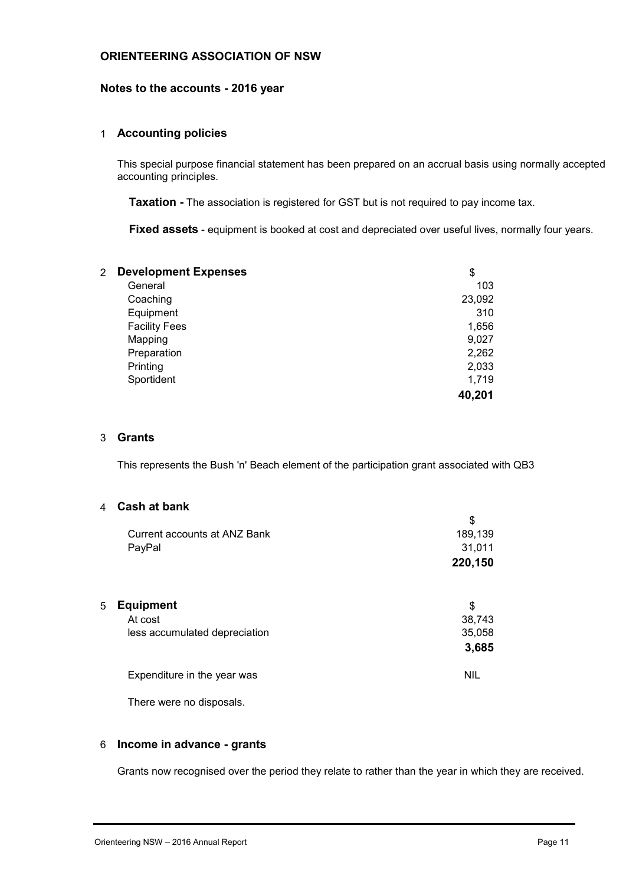#### **ORIENTEERING ASSOCIATION OF NSW**

#### **Notes to the accounts - 2016 year**

#### 1 **Accounting policies**

This special purpose financial statement has been prepared on an accrual basis using normally accepted accounting principles.

**Taxation -** The association is registered for GST but is not required to pay income tax.

**Fixed assets** - equipment is booked at cost and depreciated over useful lives, normally four years.

| \$     |
|--------|
| 103    |
| 23,092 |
| 310    |
| 1,656  |
| 9,027  |
| 2,262  |
| 2,033  |
| 1,719  |
| 40,201 |
|        |

#### 3 **Grants**

This represents the Bush 'n' Beach element of the participation grant associated with QB3

#### 4 **Cash at bank**

|   |                               | \$         |  |
|---|-------------------------------|------------|--|
|   | Current accounts at ANZ Bank  | 189,139    |  |
|   | PayPal                        | 31,011     |  |
|   |                               | 220,150    |  |
|   |                               |            |  |
| 5 | <b>Equipment</b>              | \$         |  |
|   | At cost                       | 38,743     |  |
|   | less accumulated depreciation | 35,058     |  |
|   |                               | 3,685      |  |
|   | Expenditure in the year was   | <b>NIL</b> |  |
|   |                               |            |  |

There were no disposals.

#### 6 **Income in advance - grants**

Grants now recognised over the period they relate to rather than the year in which they are received.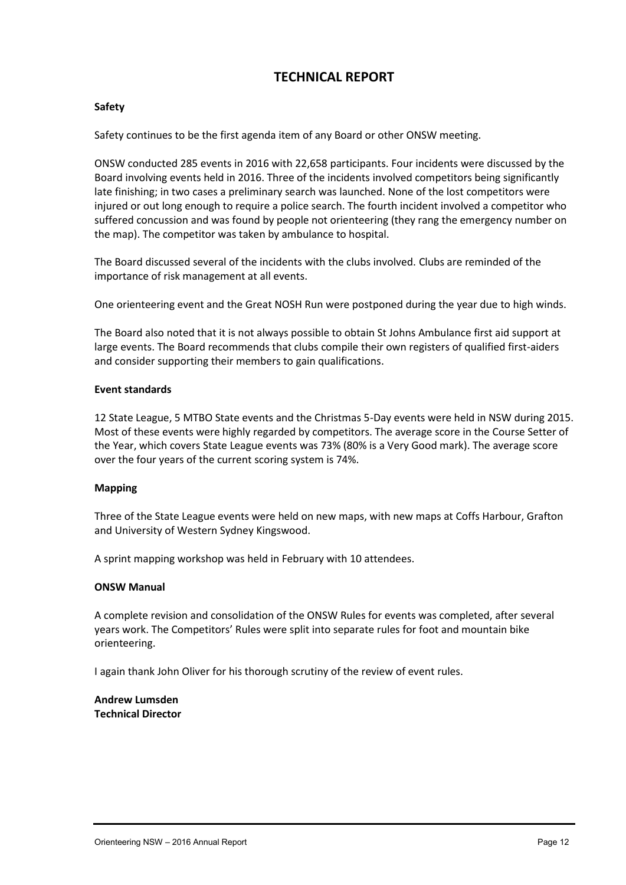# **TECHNICAL REPORT**

#### **Safety**

Safety continues to be the first agenda item of any Board or other ONSW meeting.

ONSW conducted 285 events in 2016 with 22,658 participants. Four incidents were discussed by the Board involving events held in 2016. Three of the incidents involved competitors being significantly late finishing; in two cases a preliminary search was launched. None of the lost competitors were injured or out long enough to require a police search. The fourth incident involved a competitor who suffered concussion and was found by people not orienteering (they rang the emergency number on the map). The competitor was taken by ambulance to hospital.

The Board discussed several of the incidents with the clubs involved. Clubs are reminded of the importance of risk management at all events.

One orienteering event and the Great NOSH Run were postponed during the year due to high winds.

The Board also noted that it is not always possible to obtain St Johns Ambulance first aid support at large events. The Board recommends that clubs compile their own registers of qualified first-aiders and consider supporting their members to gain qualifications.

#### **Event standards**

12 State League, 5 MTBO State events and the Christmas 5-Day events were held in NSW during 2015. Most of these events were highly regarded by competitors. The average score in the Course Setter of the Year, which covers State League events was 73% (80% is a Very Good mark). The average score over the four years of the current scoring system is 74%.

#### **Mapping**

Three of the State League events were held on new maps, with new maps at Coffs Harbour, Grafton and University of Western Sydney Kingswood.

A sprint mapping workshop was held in February with 10 attendees.

#### **ONSW Manual**

A complete revision and consolidation of the ONSW Rules for events was completed, after several years work. The Competitors' Rules were split into separate rules for foot and mountain bike orienteering.

I again thank John Oliver for his thorough scrutiny of the review of event rules.

**Andrew Lumsden Technical Director**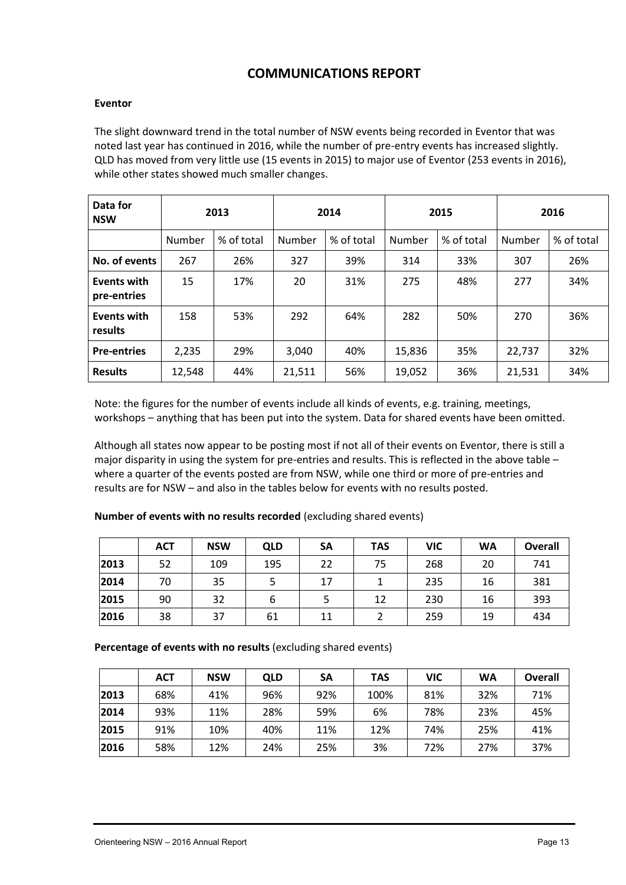# **COMMUNICATIONS REPORT**

#### **Eventor**

The slight downward trend in the total number of NSW events being recorded in Eventor that was noted last year has continued in 2016, while the number of pre-entry events has increased slightly. QLD has moved from very little use (15 events in 2015) to major use of Eventor (253 events in 2016), while other states showed much smaller changes.

| Data for<br>2013<br><b>NSW</b> |        |            | 2014   |            | 2015   |            | 2016   |            |
|--------------------------------|--------|------------|--------|------------|--------|------------|--------|------------|
|                                | Number | % of total | Number | % of total | Number | % of total | Number | % of total |
| No. of events                  | 267    | 26%        | 327    | 39%        | 314    | 33%        | 307    | 26%        |
| Events with<br>pre-entries     | 15     | 17%        | 20     | 31%        | 275    | 48%        | 277    | 34%        |
| Events with<br>results         | 158    | 53%        | 292    | 64%        | 282    | 50%        | 270    | 36%        |
| <b>Pre-entries</b>             | 2,235  | 29%        | 3,040  | 40%        | 15,836 | 35%        | 22,737 | 32%        |
| <b>Results</b>                 | 12,548 | 44%        | 21,511 | 56%        | 19,052 | 36%        | 21,531 | 34%        |

Note: the figures for the number of events include all kinds of events, e.g. training, meetings, workshops – anything that has been put into the system. Data for shared events have been omitted.

Although all states now appear to be posting most if not all of their events on Eventor, there is still a major disparity in using the system for pre-entries and results. This is reflected in the above table – where a quarter of the events posted are from NSW, while one third or more of pre-entries and results are for NSW – and also in the tables below for events with no results posted.

|      | <b>ACT</b> | <b>NSW</b> | <b>QLD</b> | <b>SA</b> | <b>TAS</b> | <b>VIC</b> | <b>WA</b> | <b>Overall</b> |
|------|------------|------------|------------|-----------|------------|------------|-----------|----------------|
| 2013 | 52         | 109        | 195        | 22        | 75         | 268        | 20        | 741            |
| 2014 | 70         | 35         |            | 17        |            | 235        | 16        | 381            |
| 2015 | 90         | 32         | b          |           | 12         | 230        | 16        | 393            |
| 2016 | 38         | 37         | 61         | 11        |            | 259        | 19        | 434            |

**Number of events with no results recorded** (excluding shared events)

**Percentage of events with no results** (excluding shared events)

|      | <b>ACT</b> | <b>NSW</b> | <b>QLD</b> | <b>SA</b> | <b>TAS</b> | <b>VIC</b> | <b>WA</b> | <b>Overall</b> |
|------|------------|------------|------------|-----------|------------|------------|-----------|----------------|
| 2013 | 68%        | 41%        | 96%        | 92%       | 100%       | 81%        | 32%       | 71%            |
| 2014 | 93%        | 11%        | 28%        | 59%       | 6%         | 78%        | 23%       | 45%            |
| 2015 | 91%        | 10%        | 40%        | 11%       | 12%        | 74%        | 25%       | 41%            |
| 2016 | 58%        | 12%        | 24%        | 25%       | 3%         | 72%        | 27%       | 37%            |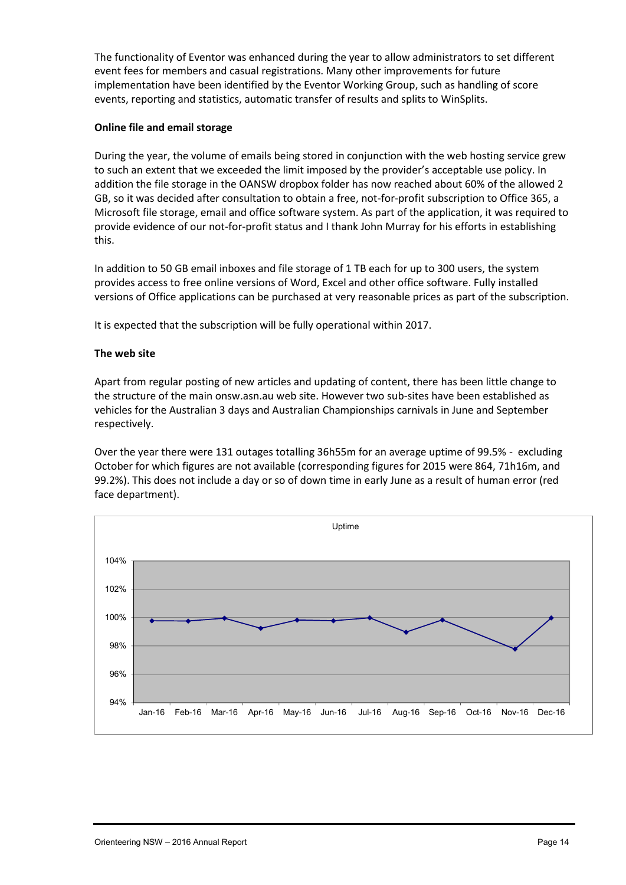The functionality of Eventor was enhanced during the year to allow administrators to set different event fees for members and casual registrations. Many other improvements for future implementation have been identified by the Eventor Working Group, such as handling of score events, reporting and statistics, automatic transfer of results and splits to WinSplits.

## **Online file and email storage**

During the year, the volume of emails being stored in conjunction with the web hosting service grew to such an extent that we exceeded the limit imposed by the provider's acceptable use policy. In addition the file storage in the OANSW dropbox folder has now reached about 60% of the allowed 2 GB, so it was decided after consultation to obtain a free, not-for-profit subscription to Office 365, a Microsoft file storage, email and office software system. As part of the application, it was required to provide evidence of our not-for-profit status and I thank John Murray for his efforts in establishing this.

In addition to 50 GB email inboxes and file storage of 1 TB each for up to 300 users, the system provides access to free online versions of Word, Excel and other office software. Fully installed versions of Office applications can be purchased at very reasonable prices as part of the subscription.

It is expected that the subscription will be fully operational within 2017.

## **The web site**

Apart from regular posting of new articles and updating of content, there has been little change to the structure of the main onsw.asn.au web site. However two sub-sites have been established as vehicles for the Australian 3 days and Australian Championships carnivals in June and September respectively.

Over the year there were 131 outages totalling 36h55m for an average uptime of 99.5% - excluding October for which figures are not available (corresponding figures for 2015 were 864, 71h16m, and 99.2%). This does not include a day or so of down time in early June as a result of human error (red face department).

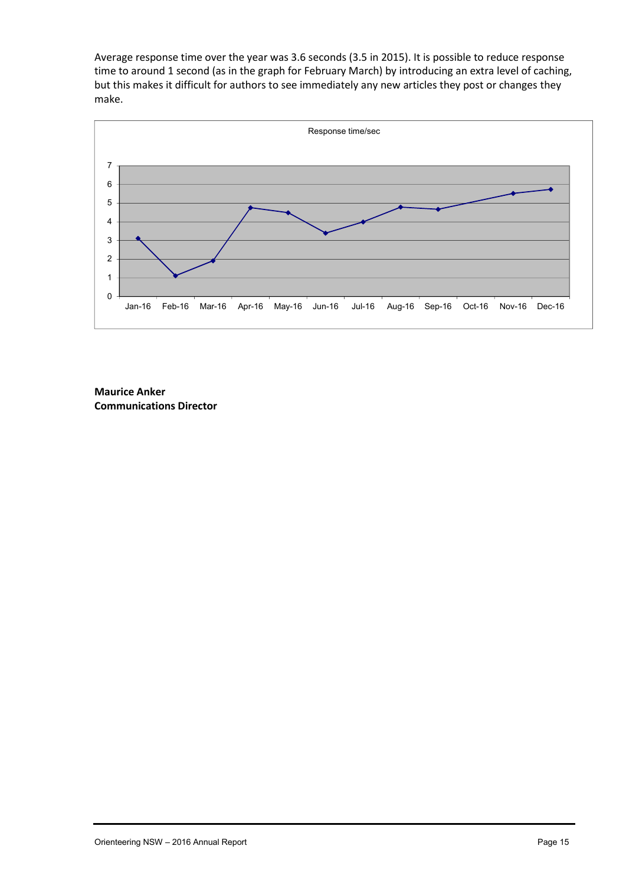Average response time over the year was 3.6 seconds (3.5 in 2015). It is possible to reduce response time to around 1 second (as in the graph for February March) by introducing an extra level of caching, but this makes it difficult for authors to see immediately any new articles they post or changes they make.



**Maurice Anker Communications Director**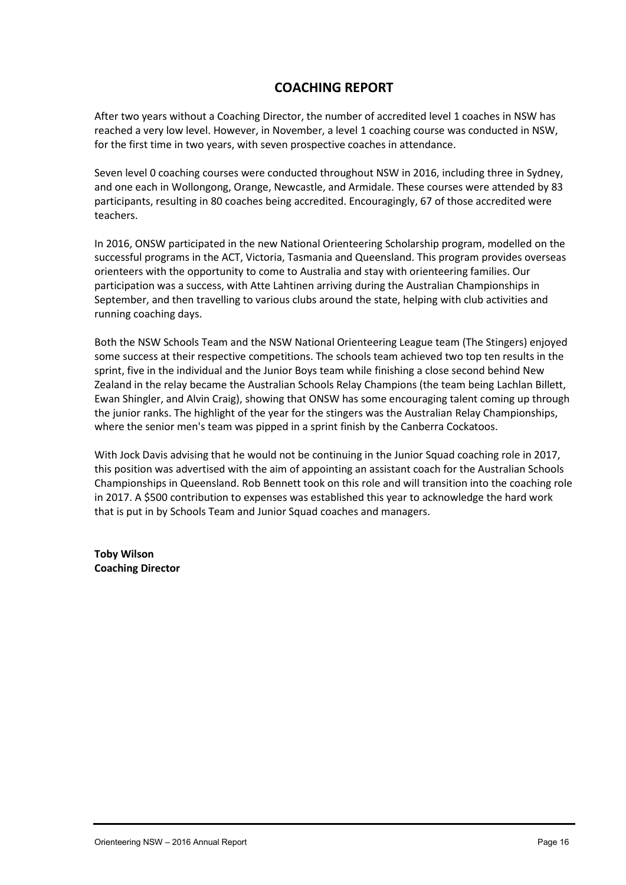# **COACHING REPORT**

After two years without a Coaching Director, the number of accredited level 1 coaches in NSW has reached a very low level. However, in November, a level 1 coaching course was conducted in NSW, for the first time in two years, with seven prospective coaches in attendance.

Seven level 0 coaching courses were conducted throughout NSW in 2016, including three in Sydney, and one each in Wollongong, Orange, Newcastle, and Armidale. These courses were attended by 83 participants, resulting in 80 coaches being accredited. Encouragingly, 67 of those accredited were teachers.

In 2016, ONSW participated in the new National Orienteering Scholarship program, modelled on the successful programs in the ACT, Victoria, Tasmania and Queensland. This program provides overseas orienteers with the opportunity to come to Australia and stay with orienteering families. Our participation was a success, with Atte Lahtinen arriving during the Australian Championships in September, and then travelling to various clubs around the state, helping with club activities and running coaching days.

Both the NSW Schools Team and the NSW National Orienteering League team (The Stingers) enjoyed some success at their respective competitions. The schools team achieved two top ten results in the sprint, five in the individual and the Junior Boys team while finishing a close second behind New Zealand in the relay became the Australian Schools Relay Champions (the team being Lachlan Billett, Ewan Shingler, and Alvin Craig), showing that ONSW has some encouraging talent coming up through the junior ranks. The highlight of the year for the stingers was the Australian Relay Championships, where the senior men's team was pipped in a sprint finish by the Canberra Cockatoos.

With Jock Davis advising that he would not be continuing in the Junior Squad coaching role in 2017, this position was advertised with the aim of appointing an assistant coach for the Australian Schools Championships in Queensland. Rob Bennett took on this role and will transition into the coaching role in 2017. A \$500 contribution to expenses was established this year to acknowledge the hard work that is put in by Schools Team and Junior Squad coaches and managers.

**Toby Wilson Coaching Director**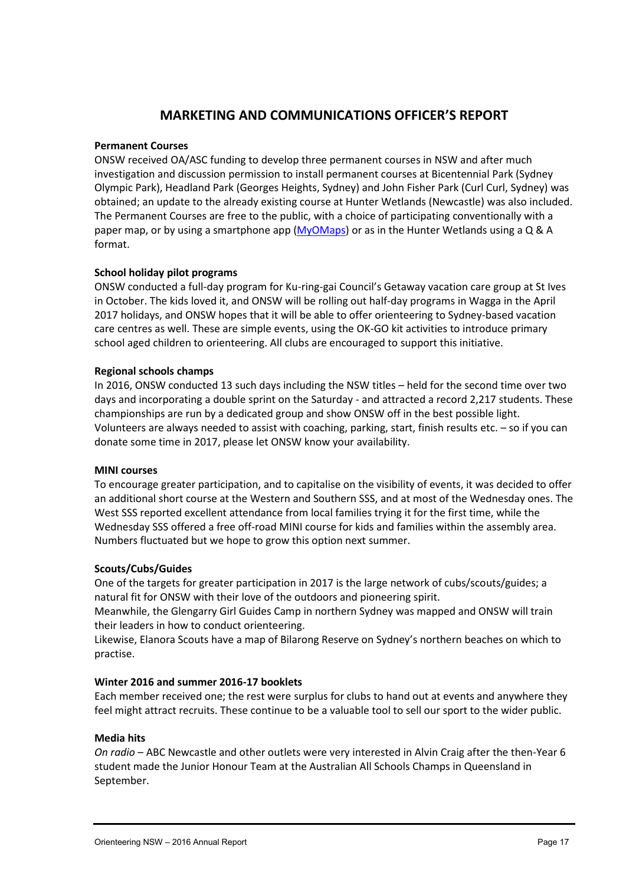# MARKETING AND COMMUNICSATHEOPACSROTFICE

#### $P$ ermanent  $\Omega$ s

ONSMeceivDeAd/ASC funding to develop threeN  $\beta$  We modameter cround ses in  $inv$ estigation an $\phi$ edrims $i$ sussisping rto install permanent courses at Bice Olympic Park), Headland Park (Georges Heights, Sydnew) and John obtainead npdattoethealready goxosutrishe at Hunter Wetlawids (a Nexa cracsitulel) e The Permanent Cloeue steos the epublic, with a choolince of tip a attil gipwaith ng paper mabpyuscin**g** maartphone<mark>y yaQo bola' po ars in Hibrea</mark>ter Wettlsainnan**g D**eSA. A format

#### School holiday pilot programs

ONSW conduc-deady ap rfought a mringgrank Council s Getaway vacation care in Occober. The kids loveoolilit, baenolo ONNn SgWakoyup rhoaglifa msiinn tWreagAgparil 2017 b lhidays, and ONSW hopes that ointiewnithe doreinagb the afsour dark feet rion care centres as well. Thesse uss in a skill pline a care centroduce school aged children to osieantee enionagur Algled lub support this initia

#### Regional schools champs

In 2016, ONSW conducted 13 such dayhseld cflourdithing these on NnSdW titmiteless days and incorporating a double-asportination acted Sartseticuled by 2 These chamionship rebry ma dedicated group aonfol ishow on ONSN show e light. Volunteærres always troe assistist with coaching, parkientoc. soot afty of uncsahn i donate somie 20 m/me7lease let QuNySo Nurkano a.ilability

#### MINI courses

To encourage greater participaothioth, eavids it calictay potfad bested tesd, tion over faster an additional short course at the Western and Southern SSS, an West SSSedexcoetlent attendance from local families trying it for Wednesday SSS off  $\epsilon$ o and  $\Delta M$  find  $\epsilon$  of the assembly and families within Numbers fluctuated but we hope to grow this option next summe

#### $S \ncouthx/C$  Guides

One of the targets for greater participation in 200t<sup>s7</sup> giusides; large natural fit fowrit the Niss Music of the outdoors and pioneering spirit Meanwhild Gelengarry Girl Guides Camp wan moad tablen Sowwild het yain their leaders in how to conduct orienteering. Likewise, Elanora Scouts have a map of Bilarong Reserve on Sv practise.

#### Winter  $2016$  and sulm7 mboen  $\sqrt{2016}$

Each member received one; pthus fost cwee to hand out at events feel might attract recruits. These continue to be a valuable tool

#### Media hits

On radABC Newcastle and other outlets were veery thee Year 6 in student made the Junior Honour Team at the Australian All Scho September.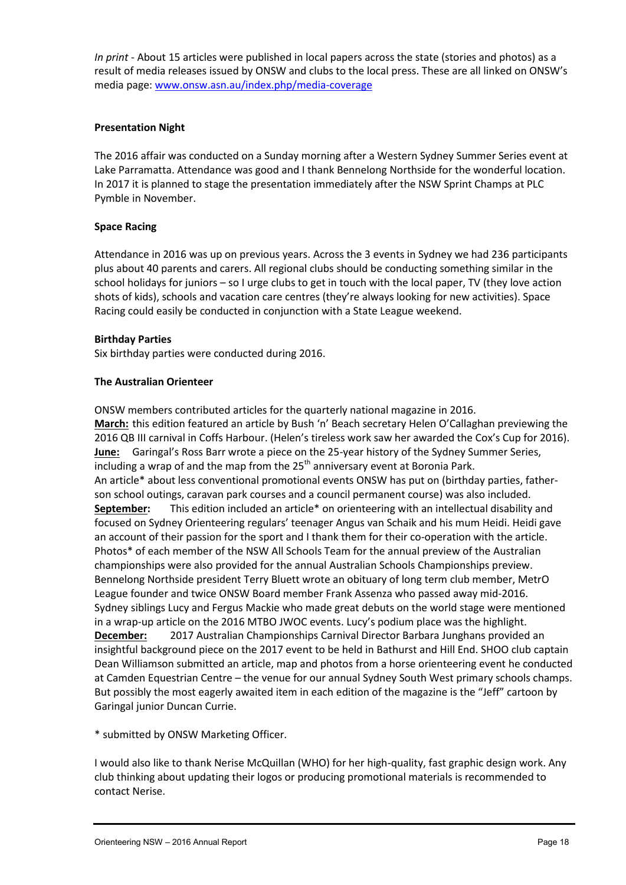In primitiout 15 articles were published in local papers across the result of media rebeya heds instant clubs etsos the hboscea are all linked on  $\epsilon$ media pwaygev: onsw.asn.au/indecov.ype-trpa/gneedia

Presentation Night

The 2016 affair was conducted **aftea SuW e sydney Summer** Series and Summer Series and Summer Series and at an I Lake Parramatta. Attendance was good and I thad rBueln hoed anionN In 2017 it istoplsatrangeed the presentation immediately after the NSW Pymble Novemb

Space Racing

Attendance in 2016 was up on previous years. Across the 3 ever plus about 40 parents and carers. All regional clubs should be c school holidays foor ljum light in get in touch with the local paper, shots of kids), schools and vacation care centres (they re alway Racing could easily be conducted in conjunction with a State Le

Birthday tipes Six birthday wear eties anducted during 2016

The Australian Orienteer

ONSW members contributed articles for the quarterly national m Marchhis edition featured am **Betiche stever Bushy** Helen O Callaghan 201GB III carnival in Coffs Harbour. (Helen s tireless work saw June:Garing Paolsss: Barrapwirecotee on tyhesen 25 istory of the Sydney Summe includaing rap of and the map  $\frac{1}{4}$  penfortheor the  $\frac{1}{2}$  we nt at Boronia Park. An artiache duess convention modional events ONSW has put on (birther -son school outings, caravan palrkpecromuare astanoranoshion and council u September his edition imaxitudes the nateering with an intellectual disability and the second the second second focuscen Sydney Orienetgerine gan ager Angus vahisa almai Headonid Heidi gave anaccount of their passion for then siphoentr-accoderattiho anniwith the articl Photosf each member of the NSW All Schools Team for the annua championships also pfronvit the dannual Australian Schools Champion Bennelong Northsiderpy eBsli**dent the oxordent aby rog** term club MmetrMCber, League foaumddetwice ONSW BoFarrach tons twindig passieled ta 6way Sydney siblings Lucy a **whole Faed geugere** Maatche beebuts on wheerew noned not isotangel in a w-up plaincle on the 2016 MTBO LU of  $WOS$  peovel in the place was the high December2017 Australian Champions othions BC aarnina waal JD nghans provided and any contractor Barbara Junghans provi insightful backgroun 200 pi7e estoeon bte to be athurst a Solel OHO Ilc Enunchain Dean Williamson as unamitted map and photos from a horse oriente at Camden Equestrhen Genute of our annual Sydney South West p Butopsibly the most eagerly awaited of the analyzimise able Jeff cartoon Gargal junior Duncan Currie.

\*submittled ONSW Marketing Officer.

I would also like to thank Nerise McQuualliayn, (NeVsHtOg) rapophince dehsigghn club thinking about lupp about  $\frac{1}{2}$  or  $\frac{1}{2}$  and  $\frac{1}{2}$  and  $\frac{1}{2}$  and  $\frac{1}{2}$  and  $\frac{1}{2}$  and  $\frac{1}{2}$  and  $\frac{1}{2}$  and  $\frac{1}{2}$  and  $\frac{1}{2}$  and  $\frac{1}{2}$  and  $\frac{1}{2}$  and  $\frac{1}{2}$  and  $\frac{1}{2}$  contact Nerise.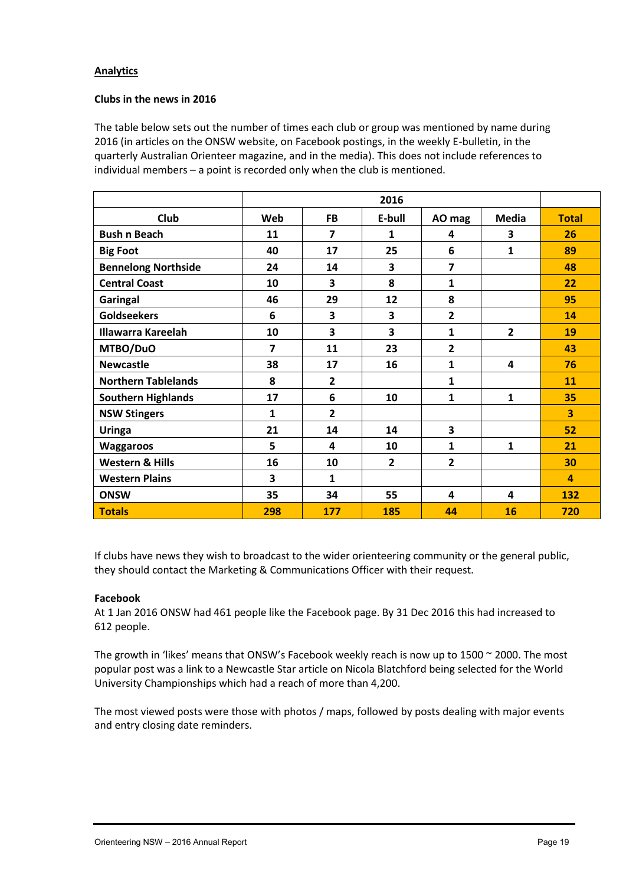## **Analytics**

#### **Clubs in the news in 2016**

The table below sets out the number of times each club or group was mentioned by name during 2016 (in articles on the ONSW website, on Facebook postings, in the weekly E-bulletin, in the quarterly Australian Orienteer magazine, and in the media). This does not include references to individual members – a point is recorded only when the club is mentioned.

|                            |              | 2016                    |                |                |                |                         |  |  |  |  |  |  |
|----------------------------|--------------|-------------------------|----------------|----------------|----------------|-------------------------|--|--|--|--|--|--|
| <b>Club</b>                | Web          | <b>FB</b>               | E-bull         | AO mag         | <b>Media</b>   | <b>Total</b>            |  |  |  |  |  |  |
| <b>Bush n Beach</b>        | 11           | $\overline{\mathbf{z}}$ | 1              | 4              | 3              | 26                      |  |  |  |  |  |  |
| <b>Big Foot</b>            | 40           | 17                      | 25             | 6              | $\mathbf{1}$   | 89                      |  |  |  |  |  |  |
| <b>Bennelong Northside</b> | 24           | 14                      | 3              | 7              |                | 48                      |  |  |  |  |  |  |
| <b>Central Coast</b>       | 10           | 3                       | 8              | 1              |                | 22                      |  |  |  |  |  |  |
| Garingal                   | 46           | 29                      | 12             | 8              |                | 95                      |  |  |  |  |  |  |
| <b>Goldseekers</b>         | 6            | 3                       | 3              | $\overline{2}$ |                | 14                      |  |  |  |  |  |  |
| <b>Illawarra Kareelah</b>  | 10           | 3                       | 3              | 1              | $\overline{2}$ | 19                      |  |  |  |  |  |  |
| MTBO/DuO                   | 7            | 11                      | 23             | $\overline{2}$ |                | 43                      |  |  |  |  |  |  |
| <b>Newcastle</b>           | 38           | 17                      | 16             | 1              | 4              | 76                      |  |  |  |  |  |  |
| <b>Northern Tablelands</b> | 8            | $\overline{2}$          |                | 1              |                | 11                      |  |  |  |  |  |  |
| <b>Southern Highlands</b>  | 17           | 6                       | 10             | $\mathbf{1}$   | 1              | 35                      |  |  |  |  |  |  |
| <b>NSW Stingers</b>        | $\mathbf{1}$ | $\overline{2}$          |                |                |                | $\overline{\mathbf{3}}$ |  |  |  |  |  |  |
| <b>Uringa</b>              | 21           | 14                      | 14             | 3              |                | 52                      |  |  |  |  |  |  |
| <b>Waggaroos</b>           | 5            | 4                       | 10             | $\mathbf{1}$   | $\mathbf{1}$   | 21                      |  |  |  |  |  |  |
| <b>Western &amp; Hills</b> | 16           | 10                      | $\overline{2}$ | $\overline{2}$ |                | 30                      |  |  |  |  |  |  |
| <b>Western Plains</b>      | 3            | $\mathbf{1}$            |                |                |                | $\overline{a}$          |  |  |  |  |  |  |
| <b>ONSW</b>                | 35           | 34                      | 55             | 4              | 4              | 132                     |  |  |  |  |  |  |
| <b>Totals</b>              | 298          | 177                     | 185            | 44             | 16             | 720                     |  |  |  |  |  |  |

If clubs have news they wish to broadcast to the wider orienteering community or the general public, they should contact the Marketing & Communications Officer with their request.

#### **Facebook**

At 1 Jan 2016 ONSW had 461 people like the Facebook page. By 31 Dec 2016 this had increased to 612 people.

The growth in 'likes' means that ONSW's Facebook weekly reach is now up to 1500 ~ 2000. The most popular post was a link to a Newcastle Star article on Nicola Blatchford being selected for the World University Championships which had a reach of more than 4,200.

The most viewed posts were those with photos / maps, followed by posts dealing with major events and entry closing date reminders.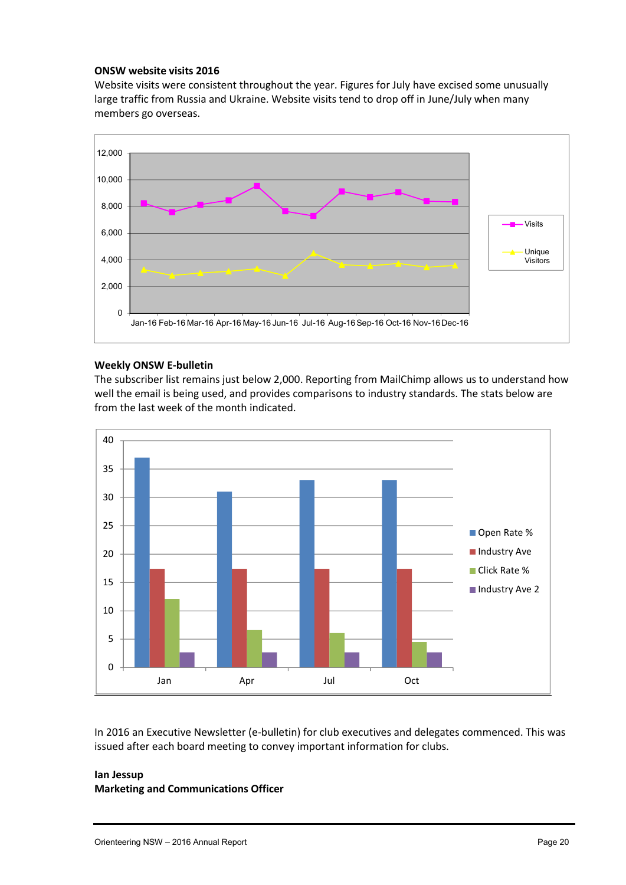#### **ONSW website visits 2016**

Website visits were consistent throughout the year. Figures for July have excised some unusually large traffic from Russia and Ukraine. Website visits tend to drop off in June/July when many members go overseas.



#### **Weekly ONSW E-bulletin**

The subscriber list remains just below 2,000. Reporting from MailChimp allows us to understand how well the email is being used, and provides comparisons to industry standards. The stats below are from the last week of the month indicated.



In 2016 an Executive Newsletter (e-bulletin) for club executives and delegates commenced. This was issued after each board meeting to convey important information for clubs.

# **Ian Jessup**

## **Marketing and Communications Officer**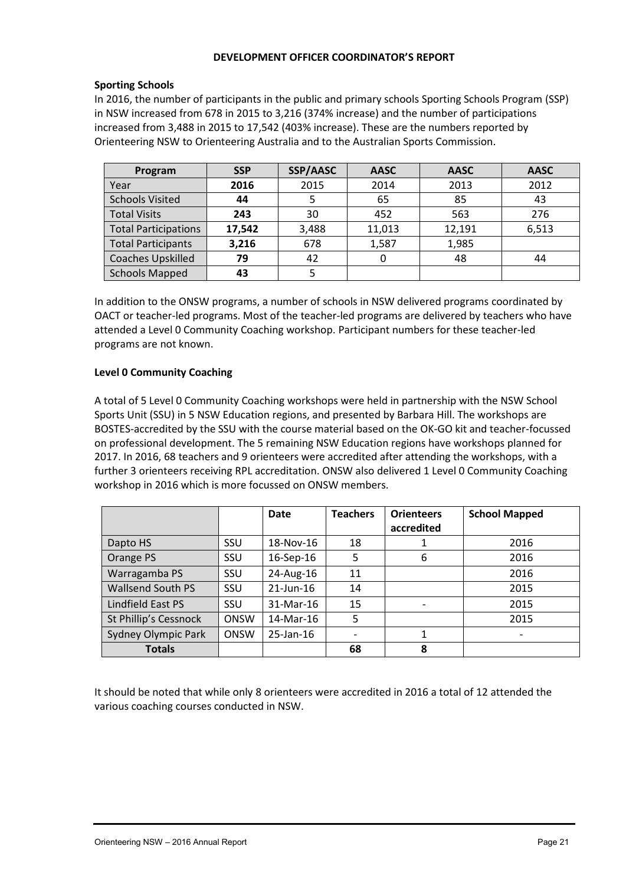#### **DEVELOPMENT OFFICER COORDINATOR'S REPORT**

## **Sporting Schools**

In 2016, the number of participants in the public and primary schools Sporting Schools Program (SSP) in NSW increased from 678 in 2015 to 3,216 (374% increase) and the number of participations increased from 3,488 in 2015 to 17,542 (403% increase). These are the numbers reported by Orienteering NSW to Orienteering Australia and to the Australian Sports Commission.

| Program                     | <b>SSP</b> | SSP/AASC | <b>AASC</b> | <b>AASC</b> | <b>AASC</b> |
|-----------------------------|------------|----------|-------------|-------------|-------------|
| Year                        | 2016       | 2015     | 2014        | 2013        | 2012        |
| <b>Schools Visited</b>      | 44         |          | 65          | 85          | 43          |
| <b>Total Visits</b>         | 243        | 30       | 452         | 563         | 276         |
| <b>Total Participations</b> | 17,542     | 3,488    | 11,013      | 12,191      | 6,513       |
| <b>Total Participants</b>   | 3,216      | 678      | 1,587       | 1,985       |             |
| Coaches Upskilled           | 79         | 42       | 0           | 48          | 44          |
| <b>Schools Mapped</b>       | 43         |          |             |             |             |

In addition to the ONSW programs, a number of schools in NSW delivered programs coordinated by OACT or teacher-led programs. Most of the teacher-led programs are delivered by teachers who have attended a Level 0 Community Coaching workshop. Participant numbers for these teacher-led programs are not known.

## **Level 0 Community Coaching**

A total of 5 Level 0 Community Coaching workshops were held in partnership with the NSW School Sports Unit (SSU) in 5 NSW Education regions, and presented by Barbara Hill. The workshops are BOSTES-accredited by the SSU with the course material based on the OK-GO kit and teacher-focussed on professional development. The 5 remaining NSW Education regions have workshops planned for 2017. In 2016, 68 teachers and 9 orienteers were accredited after attending the workshops, with a further 3 orienteers receiving RPL accreditation. ONSW also delivered 1 Level 0 Community Coaching workshop in 2016 which is more focussed on ONSW members.

|                          |             | Date         | <b>Teachers</b> | <b>Orienteers</b> | <b>School Mapped</b>     |
|--------------------------|-------------|--------------|-----------------|-------------------|--------------------------|
|                          |             |              |                 | accredited        |                          |
| Dapto HS                 | SSU         | 18-Nov-16    | 18              |                   | 2016                     |
| Orange PS                | SSU         | 16-Sep-16    | 5               | 6                 | 2016                     |
| Warragamba PS            | SSU         | 24-Aug-16    | 11              |                   | 2016                     |
| <b>Wallsend South PS</b> | SSU         | $21$ -Jun-16 | 14              |                   | 2015                     |
| Lindfield East PS        | SSU         | 31-Mar-16    | 15              |                   | 2015                     |
| St Phillip's Cessnock    | <b>ONSW</b> | 14-Mar-16    | 5               |                   | 2015                     |
| Sydney Olympic Park      | <b>ONSW</b> | 25-Jan-16    |                 |                   | $\overline{\phantom{a}}$ |
| <b>Totals</b>            |             |              | 68              | 8                 |                          |

It should be noted that while only 8 orienteers were accredited in 2016 a total of 12 attended the various coaching courses conducted in NSW.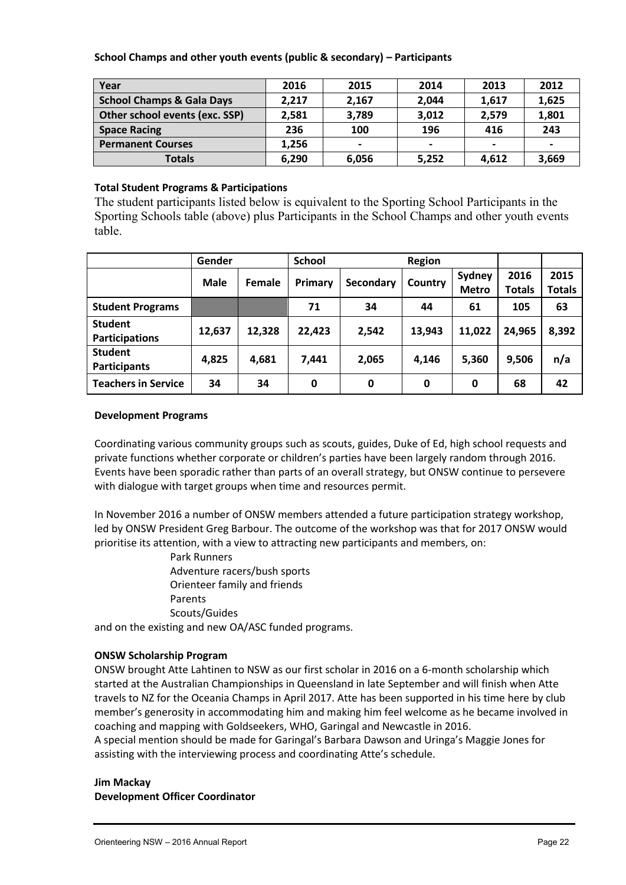#### **School Champs and other youth events (public & secondary) – Participants**

| Year                                 | 2016  | 2015  | 2014  | 2013                     | 2012           |
|--------------------------------------|-------|-------|-------|--------------------------|----------------|
| <b>School Champs &amp; Gala Days</b> | 2,217 | 2,167 | 2,044 | 1,617                    | 1,625          |
| Other school events (exc. SSP)       | 2,581 | 3,789 | 3,012 | 2,579                    | 1,801          |
| <b>Space Racing</b>                  | 236   | 100   | 196   | 416                      | 243            |
| <b>Permanent Courses</b>             | 1,256 |       |       | $\overline{\phantom{0}}$ | $\blacksquare$ |
| <b>Totals</b>                        | 6,290 | 6.056 | 5,252 | 4.612                    | 3,669          |

#### **Total Student Programs & Participations**

The student participants listed below is equivalent to the Sporting School Participants in the Sporting Schools table (above) plus Participants in the School Champs and other youth events table.

|                                         | Gender                       |        | <b>School</b>               |       | <b>Region</b> |                        |                       |                |
|-----------------------------------------|------------------------------|--------|-----------------------------|-------|---------------|------------------------|-----------------------|----------------|
|                                         | <b>Male</b><br><b>Female</b> |        | Primary<br><b>Secondary</b> |       | Country       | Sydney<br><b>Metro</b> | 2016<br><b>Totals</b> | 2015<br>Totals |
| <b>Student Programs</b>                 |                              |        | 71                          | 34    | 44            | 61                     | 105                   | 63             |
| <b>Student</b><br><b>Participations</b> | 12,637                       | 12,328 | 22,423                      | 2,542 | 13,943        | 11,022                 | 24,965                | 8,392          |
| <b>Student</b><br><b>Participants</b>   | 4,825                        | 4,681  | 7.441                       | 2,065 | 4.146         | 5,360                  | 9,506                 | n/a            |
| <b>Teachers in Service</b>              | 34                           | 34     | 0                           | 0     | 0             | 0                      | 68                    | 42             |

#### **Development Programs**

Coordinating various community groups such as scouts, guides, Duke of Ed, high school requests and private functions whether corporate or children's parties have been largely random through 2016. Events have been sporadic rather than parts of an overall strategy, but ONSW continue to persevere with dialogue with target groups when time and resources permit.

In November 2016 a number of ONSW members attended a future participation strategy workshop, led by ONSW President Greg Barbour. The outcome of the workshop was that for 2017 ONSW would prioritise its attention, with a view to attracting new participants and members, on:

> Park Runners Adventure racers/bush sports Orienteer family and friends Parents Scouts/Guides

and on the existing and new OA/ASC funded programs.

## **ONSW Scholarship Program**

ONSW brought Atte Lahtinen to NSW as our first scholar in 2016 on a 6-month scholarship which started at the Australian Championships in Queensland in late September and will finish when Atte travels to NZ for the Oceania Champs in April 2017. Atte has been supported in his time here by club member's generosity in accommodating him and making him feel welcome as he became involved in coaching and mapping with Goldseekers, WHO, Garingal and Newcastle in 2016. A special mention should be made for Garingal's Barbara Dawson and Uringa's Maggie Jones for assisting with the interviewing process and coordinating Atte's schedule.

## **Jim Mackay Development Officer Coordinator**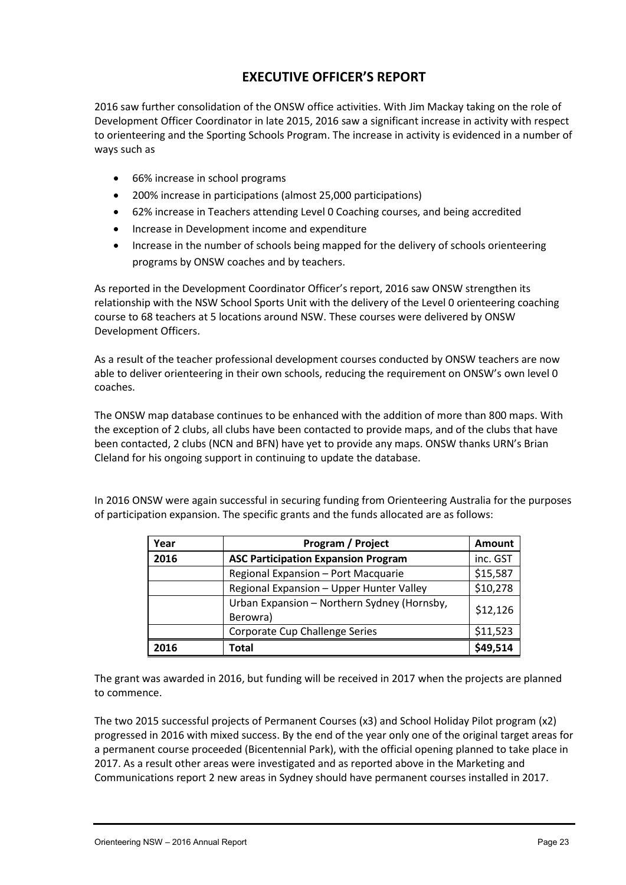# **EXECUTIVE OFFICER'S REPORT**

2016 saw further consolidation of the ONSW office activities. With Jim Mackay taking on the role of Development Officer Coordinator in late 2015, 2016 saw a significant increase in activity with respect to orienteering and the Sporting Schools Program. The increase in activity is evidenced in a number of ways such as

- 66% increase in school programs
- 200% increase in participations (almost 25,000 participations)
- 62% increase in Teachers attending Level 0 Coaching courses, and being accredited
- Increase in Development income and expenditure
- Increase in the number of schools being mapped for the delivery of schools orienteering programs by ONSW coaches and by teachers.

As reported in the Development Coordinator Officer's report, 2016 saw ONSW strengthen its relationship with the NSW School Sports Unit with the delivery of the Level 0 orienteering coaching course to 68 teachers at 5 locations around NSW. These courses were delivered by ONSW Development Officers.

As a result of the teacher professional development courses conducted by ONSW teachers are now able to deliver orienteering in their own schools, reducing the requirement on ONSW's own level 0 coaches.

The ONSW map database continues to be enhanced with the addition of more than 800 maps. With the exception of 2 clubs, all clubs have been contacted to provide maps, and of the clubs that have been contacted, 2 clubs (NCN and BFN) have yet to provide any maps. ONSW thanks URN's Brian Cleland for his ongoing support in continuing to update the database.

| Year | Program / Project                                       | Amount   |
|------|---------------------------------------------------------|----------|
| 2016 | <b>ASC Participation Expansion Program</b>              | inc. GST |
|      | Regional Expansion - Port Macquarie                     | \$15,587 |
|      | Regional Expansion - Upper Hunter Valley                | \$10,278 |
|      | Urban Expansion - Northern Sydney (Hornsby,<br>Berowra) | \$12,126 |
|      | Corporate Cup Challenge Series                          | \$11,523 |
| 2016 | Total                                                   | \$49,514 |

In 2016 ONSW were again successful in securing funding from Orienteering Australia for the purposes of participation expansion. The specific grants and the funds allocated are as follows:

The grant was awarded in 2016, but funding will be received in 2017 when the projects are planned to commence.

The two 2015 successful projects of Permanent Courses (x3) and School Holiday Pilot program (x2) progressed in 2016 with mixed success. By the end of the year only one of the original target areas for a permanent course proceeded (Bicentennial Park), with the official opening planned to take place in 2017. As a result other areas were investigated and as reported above in the Marketing and Communications report 2 new areas in Sydney should have permanent courses installed in 2017.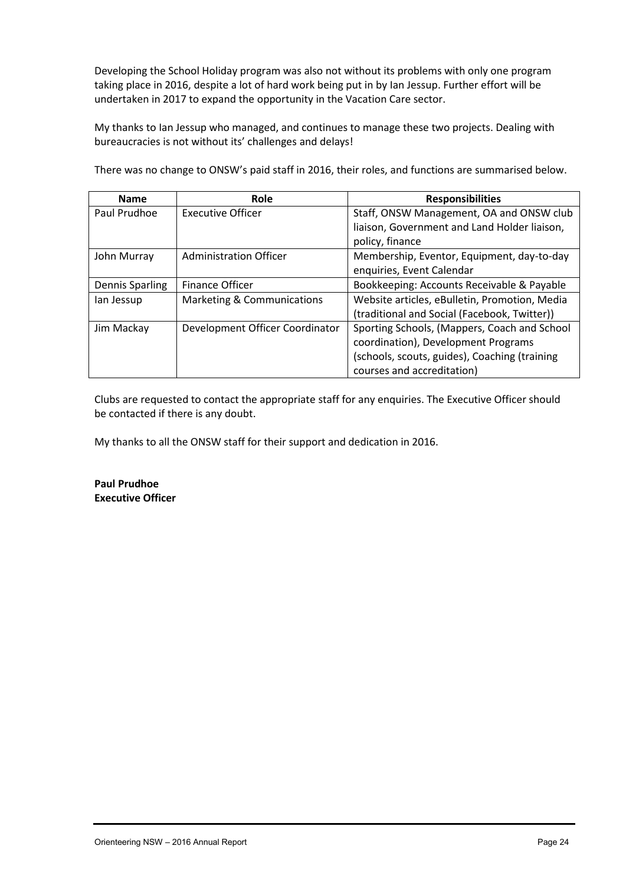Developing the School Holiday program was also not without its problems with only one program taking place in 2016, despite a lot of hard work being put in by Ian Jessup. Further effort will be undertaken in 2017 to expand the opportunity in the Vacation Care sector.

My thanks to Ian Jessup who managed, and continues to manage these two projects. Dealing with bureaucracies is not without its' challenges and delays!

**Name Role Role Responsibilities** Paul Prudhoe | Executive Officer | Staff, ONSW Management, OA and ONSW club liaison, Government and Land Holder liaison, policy, finance John Murray | Administration Officer | Membership, Eventor, Equipment, day-to-day enquiries, Event Calendar Dennis Sparling | Finance Officer | Bookkeeping: Accounts Receivable & Payable Ian Jessup | Marketing & Communications | Website articles, eBulletin, Promotion, Media (traditional and Social (Facebook, Twitter)) Jim Mackay  $\Box$  Development Officer Coordinator  $\Box$  Sporting Schools, (Mappers, Coach and School coordination), Development Programs (schools, scouts, guides), Coaching (training courses and accreditation)

There was no change to ONSW's paid staff in 2016, their roles, and functions are summarised below.

Clubs are requested to contact the appropriate staff for any enquiries. The Executive Officer should be contacted if there is any doubt.

My thanks to all the ONSW staff for their support and dedication in 2016.

**Paul Prudhoe Executive Officer**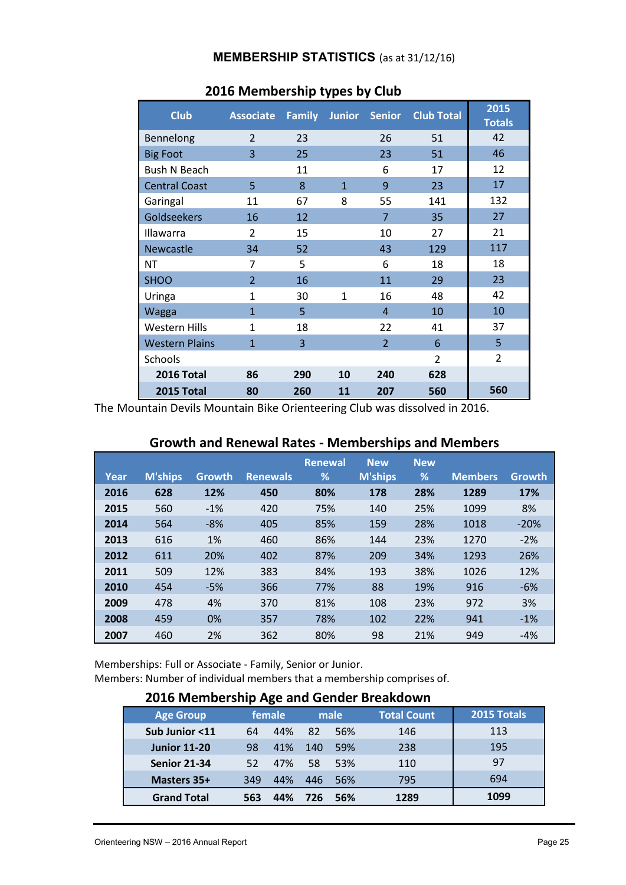## **MEMBERSHIP STATISTICS** (as at 31/12/16)

| <b>Club</b>           | <b>Associate</b> |     | <b>Family Junior</b> | <b>Senior</b>  | <b>Club Total</b> | 2015<br><b>Totals</b> |
|-----------------------|------------------|-----|----------------------|----------------|-------------------|-----------------------|
| Bennelong             | $\overline{2}$   | 23  |                      | 26             | 51                | 42                    |
| <b>Big Foot</b>       | $\overline{3}$   | 25  |                      | 23             | 51                | 46                    |
| <b>Bush N Beach</b>   |                  | 11  |                      | 6              | 17                | 12                    |
| <b>Central Coast</b>  | 5                | 8   | $\mathbf{1}$         | 9              | 23                | 17                    |
| Garingal              | 11               | 67  | 8                    | 55             | 141               | 132                   |
| Goldseekers           | 16               | 12  |                      | 7              | 35                | 27                    |
| Illawarra             | $\overline{2}$   | 15  |                      | 10             | 27                | 21                    |
| <b>Newcastle</b>      | 34               | 52  |                      | 43             | 129               | 117                   |
| ΝT                    | $\overline{7}$   | 5   |                      | 6              | 18                | 18                    |
| <b>SHOO</b>           | $\overline{2}$   | 16  |                      | 11             | 29                | 23                    |
| Uringa                | $\mathbf{1}$     | 30  | $\mathbf{1}$         | 16             | 48                | 42                    |
| Wagga                 | $\mathbf{1}$     | 5   |                      | $\overline{4}$ | 10                | 10                    |
| <b>Western Hills</b>  | $\mathbf{1}$     | 18  |                      | 22             | 41                | 37                    |
| <b>Western Plains</b> | $\mathbf{1}$     | 3   |                      | $\overline{2}$ | 6                 | 5                     |
| Schools               |                  |     |                      |                | $\overline{2}$    | $\overline{2}$        |
| 2016 Total            | 86               | 290 | 10                   | 240            | 628               |                       |
| 2015 Total            | 80               | 260 | 11                   | 207            | 560               | 560                   |

# **2016 Membership types by Club**

The Mountain Devils Mountain Bike Orienteering Club was dissolved in 2016.

# **Growth and Renewal Rates - Memberships and Members**

|      |                |        |                 | <b>Renewal</b> | <b>New</b> | <b>New</b> |                |               |
|------|----------------|--------|-----------------|----------------|------------|------------|----------------|---------------|
| Year | <b>M'ships</b> | Growth | <b>Renewals</b> | %              | M'ships    | %          | <b>Members</b> | <b>Growth</b> |
| 2016 | 628            | 12%    | 450             | 80%            | 178        | 28%        | 1289           | 17%           |
| 2015 | 560            | $-1%$  | 420             | 75%            | 140        | 25%        | 1099           | 8%            |
| 2014 | 564            | $-8%$  | 405             | 85%            | 159        | 28%        | 1018           | $-20%$        |
| 2013 | 616            | 1%     | 460             | 86%            | 144        | 23%        | 1270           | $-2%$         |
| 2012 | 611            | 20%    | 402             | 87%            | 209        | 34%        | 1293           | 26%           |
| 2011 | 509            | 12%    | 383             | 84%            | 193        | 38%        | 1026           | 12%           |
| 2010 | 454            | $-5%$  | 366             | 77%            | 88         | 19%        | 916            | $-6%$         |
| 2009 | 478            | 4%     | 370             | 81%            | 108        | 23%        | 972            | 3%            |
| 2008 | 459            | 0%     | 357             | 78%            | 102        | 22%        | 941            | $-1%$         |
| 2007 | 460            | 2%     | 362             | 80%            | 98         | 21%        | 949            | $-4%$         |

Memberships: Full or Associate - Family, Senior or Junior. Members: Number of individual members that a membership comprises of.

# **2016 Membership Age and Gender Breakdown**

| <b>Age Group</b>    |     | female |     | male | <b>Total Count</b> | 2015 Totals |
|---------------------|-----|--------|-----|------|--------------------|-------------|
| Sub Junior <11      | 64  | 44%    | 82  | 56%  | 146                | 113         |
| <b>Junior 11-20</b> | 98  | 41%    | 140 | 59%  | 238                | 195         |
| <b>Senior 21-34</b> | 52  | 47%    | 58  | 53%  | 110                | 97          |
| Masters 35+         | 349 | 44%    | 446 | 56%  | 795                | 694         |
| <b>Grand Total</b>  | 563 | 44%    | 726 | 56%  | 1289               | 1099        |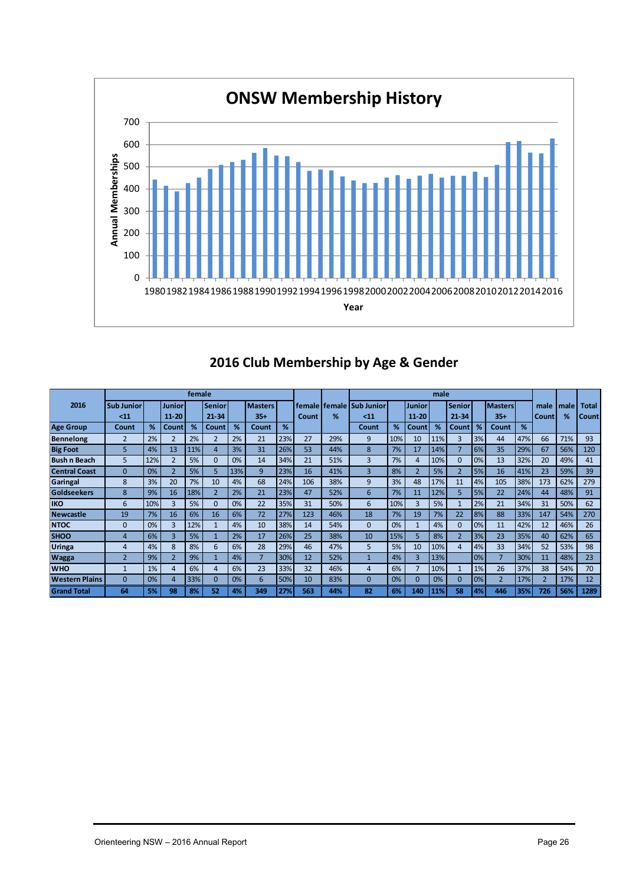

# **2016 Club Membership by Age & Gender**

|                       |                   |     |                | female |                          |     |                |     |       |     |                              |     |                | male |                          |    |                |     |                |      |              |
|-----------------------|-------------------|-----|----------------|--------|--------------------------|-----|----------------|-----|-------|-----|------------------------------|-----|----------------|------|--------------------------|----|----------------|-----|----------------|------|--------------|
| 2016                  | <b>Sub Junior</b> |     | Junior         |        | <b>Senior</b>            |     | <b>Masters</b> |     |       |     | female I female   Sub Junior |     | Junior         |      | <b>Senior</b>            |    | <b>Masters</b> |     | male           | male | <b>Total</b> |
|                       | < 11              |     | $11 - 20$      |        | $21 - 34$                |     | $35 +$         |     | Count | %   | $11$                         |     | $11 - 20$      |      | $21 - 34$                |    | $35+$          |     | Count          | %    | Count        |
| <b>Age Group</b>      | Count             | %   | Count          | %      | Count                    | %   | Count          | %   |       |     | Count                        | %   | Count          | %    | Count                    | %  | <b>Count</b>   | %   |                |      |              |
| <b>Bennelong</b>      | $\overline{2}$    | 2%  |                | 2%     |                          | 2%  | 21             | 23% | 27    | 29% | 9                            | 10% | 10             | 11%  | 3                        | 3% | 44             | 47% | 66             | 71%  | 93           |
| <b>Big Foot</b>       | 5                 | 4%  | 13             | 11%    | 4                        | 3%  | 31             | 26% | 53    | 44% | 8                            | 7%  | 17             | 14%  | 7                        | 6% | 35             | 29% | 67             | 56%  | 120          |
| <b>Bush n Beach</b>   | 5                 | 12% | $\overline{2}$ | 5%     | $\Omega$                 | 0%  | 14             | 34% | 21    | 51% | 3                            | 7%  | 4              | 10%  | $\Omega$                 | 0% | 13             | 32% | 20             | 49%  | 41           |
| <b>Central Coast</b>  | $\overline{0}$    | 0%  | $\overline{2}$ | 5%     | 5                        | 13% | 9              | 23% | 16    | 41% | 3                            | 8%  | $\overline{2}$ | 5%   | $\overline{\phantom{0}}$ | 5% | 16             | 41% | 23             | 59%  | 39           |
| Garingal              | 8                 | 3%  | 20             | 7%     | 10                       | 4%  | 68             | 24% | 106   | 38% | 9                            | 3%  | 48             | 17%  | 11                       | 4% | 105            | 38% | 173            | 62%  | 279          |
| <b>Goldseekers</b>    | 8                 | 9%  | 16             | 18%    | $\overline{\phantom{a}}$ | 2%  | 21             | 23% | 47    | 52% | 6                            | 7%  | 11             | 12%  | 5                        | 5% | 22             | 24% | 44             | 48%  | 91           |
| <b>IKO</b>            | 6                 | 10% | 3              | 5%     | $\Omega$                 | 0%  | 22             | 35% | 31    | 50% | 6                            | 10% | 3              | 5%   |                          | 2% | 21             | 34% | 31             | 50%  | 62           |
| <b>Newcastle</b>      | 19                | 7%  | 16             | 6%     | 16                       | 6%  | 72             | 27% | 123   | 46% | 18                           | 7%  | 19             | 7%   | 22                       | 8% | 88             | 33% | 147            | 54%  | 270          |
| <b>NTOC</b>           | $\Omega$          | 0%  | ς              | 12%    |                          | 4%  | 10             | 38% | 14    | 54% | $\Omega$                     | 0%  |                | 4%   | $\Omega$                 | 0% | 11             | 42% | 12             | 46%  | 26           |
| <b>SHOO</b>           | 4                 | 6%  | 3              | 5%     |                          | 2%  | 17             | 26% | 25    | 38% | 10                           | 15% | 5.             | 8%   | $\overline{2}$           | 3% | 23             | 35% | 40             | 62%  | 65           |
| <b>Uringa</b>         | 4                 | 4%  | 8              | 8%     | 6                        | 6%  | 28             | 29% | 46    | 47% | 5                            | 5%  | 10             | 10%  | 4                        | 4% | 33             | 34% | 52             | 53%  | 98           |
| <b>Wagga</b>          | $\overline{2}$    | 9%  |                | 9%     |                          | 4%  |                | 30% | 12    | 52% |                              | 4%  | 3              | 13%  |                          | 0% | $\overline{7}$ | 30% | 11             | 48%  | 23           |
| <b>WHO</b>            | $\mathbf{1}$      | 1%  | 4              | 6%     | 4                        | 6%  | 23             | 33% | 32    | 46% | 4                            | 6%  |                | 10%  |                          | 1% | 26             | 37% | 38             | 54%  | 70           |
| <b>Western Plains</b> | $\Omega$          | 0%  | 4              | 33%    | $\Omega$                 | 0%  | 6              | 50% | 10    | 83% | $\Omega$                     | 0%  | $\Omega$       | 0%   | $\Omega$                 | 0% | $\overline{2}$ | 17% | $\overline{2}$ | 17%  | 12           |
| <b>Grand Total</b>    | 64                | 5%  | 98             | 8%     | 52                       | 4%  | 349            | 27% | 563   | 44% | 82                           | 6%  | 140            | 11%  | 58                       | 4% | 446            | 35% | 726            | 56%  | 1289         |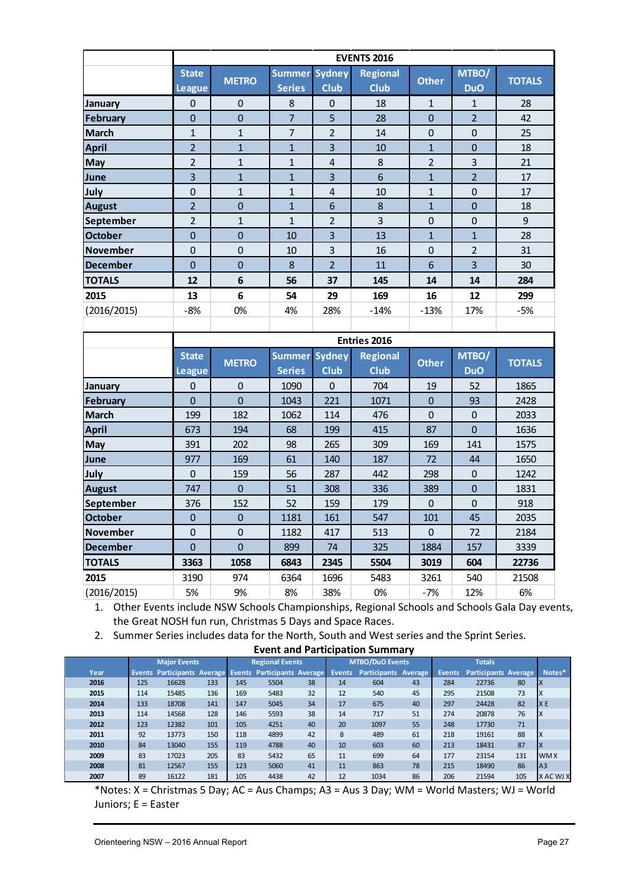|                 |                               |                |                                |                              | <b>EVENTS 2016</b>      |                |                     |               |
|-----------------|-------------------------------|----------------|--------------------------------|------------------------------|-------------------------|----------------|---------------------|---------------|
|                 | <b>State</b><br><b>League</b> | <b>METRO</b>   | <b>Summer</b><br><b>Series</b> | <b>Sydney</b><br><b>Club</b> | <b>Regional</b><br>Club | <b>Other</b>   | MTBO/<br><b>DuO</b> | <b>TOTALS</b> |
| January         | $\mathbf 0$                   | $\mathbf{0}$   | 8                              | $\mathbf 0$                  | 18                      | $\mathbf{1}$   | 1                   | 28            |
| <b>February</b> | $\overline{0}$                | $\overline{0}$ | $\overline{7}$                 | 5                            | 28                      | $\overline{0}$ | $\overline{2}$      | 42            |
| <b>March</b>    | $\mathbf{1}$                  | $\mathbf{1}$   | $\overline{7}$                 | 2                            | 14                      | $\mathbf 0$    | $\mathbf 0$         | 25            |
| <b>April</b>    | $\overline{2}$                | $\mathbf{1}$   | $\overline{1}$                 | 3                            | 10                      | $\overline{1}$ | $\mathbf 0$         | 18            |
| May             | $\overline{2}$                | $\mathbf{1}$   | $\mathbf{1}$                   | $\overline{4}$               | 8                       | $\overline{2}$ | 3                   | 21            |
| June            | $\overline{\mathbf{3}}$       | $\overline{1}$ | $\overline{1}$                 | 3                            | 6                       | $\overline{1}$ | $\overline{2}$      | 17            |
| July            | $\mathbf 0$                   | $\mathbf{1}$   | $\mathbf{1}$                   | 4                            | 10                      | $\mathbf{1}$   | $\boldsymbol{0}$    | 17            |
| <b>August</b>   | $\overline{2}$                | $\mathbf 0$    | $\overline{1}$                 | 6                            | 8                       | $\overline{1}$ | $\mathbf 0$         | 18            |
| September       | $\overline{2}$                | $\mathbf{1}$   | $\mathbf{1}$                   | $\overline{2}$               | 3                       | $\mathbf 0$    | $\mathbf 0$         | 9             |
| <b>October</b>  | $\overline{0}$                | $\overline{0}$ | 10                             | $\overline{\mathbf{3}}$      | 13                      | $\overline{1}$ | $\mathbf{1}$        | 28            |
| <b>November</b> | $\mathbf 0$                   | $\mathbf 0$    | 10                             | 3                            | 16                      | $\overline{0}$ | $\overline{2}$      | 31            |
| <b>December</b> | $\overline{0}$                | $\overline{0}$ | 8                              | $\overline{2}$               | 11                      | 6              | $\overline{3}$      | 30            |
| <b>TOTALS</b>   | 12                            | 6              | 56                             | 37                           | 145                     | 14             | 14                  | 284           |
| 2015            | 13                            | 6              | 54                             | 29                           | 169                     | 16             | 12                  | 299           |
| (2016/2015)     | $-8%$                         | 0%             | 4%                             | 28%                          | $-14%$                  | $-13%$         | 17%                 | $-5%$         |
|                 |                               |                |                                |                              |                         |                |                     |               |
|                 |                               |                |                                |                              | <b>Entries 2016</b>     |                |                     |               |
|                 | <b>State</b>                  | <b>METRO</b>   | <b>Summer Sydney</b>           |                              | <b>Regional</b>         | <b>Other</b>   | MTBO/               | <b>TOTALS</b> |
|                 | <b>League</b>                 |                | <b>Series</b>                  | <b>Club</b>                  | <b>Club</b>             |                | <b>DuO</b>          |               |
| January         | $\overline{0}$                | $\overline{0}$ | 1090                           | $\overline{0}$               | 704                     | 19             | 52                  | 1865          |
| <b>February</b> | $\overline{0}$                | $\overline{0}$ | 1043                           | 221                          | 1071                    | $\overline{0}$ | 93                  | 2428          |
| <b>March</b>    | 199                           | 182            | 1062                           | 114                          | 476                     | $\overline{0}$ | $\mathbf 0$         | 2033          |
| <b>April</b>    | 673                           | 194            | 68                             | 199                          | 415                     | 87             | $\Omega$            | 1636          |
| May             | 391                           | 202            | 98                             | 265                          | 309                     | 169            | 141                 | 1575          |
| June            | 977                           | 169            | 61                             | 140                          | 187                     | 72             | 44                  | 1650          |
| July            | $\mathbf 0$                   | 159            | 56                             | 287                          | 442                     | 298            | $\mathbf{0}$        | 1242          |

1. Other Events include NSW Schools Championships, Regional Schools and Schools Gala Day events, the Great NOSH fun run, Christmas 5 Days and Space Races.

2. Summer Series includes data for the North, South and West series and the Sprint Series.

**August** 747 0 51 308 336 389 0 1831 **September** | 376 | 152 | 52 | 159 | 179 | 0 | 0 | 918 **October** 0 0 0 1181 161 547 101 45 2035 **November** 0 0 0 1182 417 513 0 72 2184 **December** 0 0 899 74 325 1884 157 3339 **TOTALS 3363 1058 6843 2345 5504 3019 604 22736 2015** 3190 974 6364 1696 5483 3261 540 21508 (2016/2015) 5% 9% 8% 38% 0% -7% 12% 6%

**Event and Participation Summary**

|      |     | <b>Major Events</b>                                     |     |     | <b>Regional Events</b> |    |               | <b>MTBO/DuO Events</b>      |    |        | <b>Totals</b>               |     |                |
|------|-----|---------------------------------------------------------|-----|-----|------------------------|----|---------------|-----------------------------|----|--------|-----------------------------|-----|----------------|
| Year |     | Events Participants Average Events Participants Average |     |     |                        |    | <b>Events</b> | <b>Participants Average</b> |    | Events | <b>Participants Average</b> |     | Notes*         |
| 2016 | 125 | 16628                                                   | 133 | 145 | 5504                   | 38 | 14            | 604                         | 43 | 284    | 22736                       | 80  | ΙX             |
| 2015 | 114 | 15485                                                   | 136 | 169 | 5483                   | 32 | 12            | 540                         | 45 | 295    | 21508                       | 73  | ΙX             |
| 2014 | 133 | 18708                                                   | 141 | 147 | 5045                   | 34 | 17            | 675                         | 40 | 297    | 24428                       | 82  | IX E           |
| 2013 | 114 | 14568                                                   | 128 | 146 | 5593                   | 38 | 14            | 717                         | 51 | 274    | 20878                       | 76  | ΙX             |
| 2012 | 123 | 12382                                                   | 101 | 105 | 4251                   | 40 | 20            | 1097                        | 55 | 248    | 17730                       | 71  |                |
| 2011 | 92  | 13773                                                   | 150 | 118 | 4899                   | 42 | 8             | 489                         | 61 | 218    | 19161                       | 88  | ΙX             |
| 2010 | 84  | 13040                                                   | 155 | 119 | 4788                   | 40 | 10            | 603                         | 60 | 213    | 18431                       | 87  | ΙX             |
| 2009 | 83  | 17023                                                   | 205 | 83  | 5432                   | 65 | 11            | 699                         | 64 | 177    | 23154                       | 131 | <b>WMX</b>     |
| 2008 | 81  | 12567                                                   | 155 | 123 | 5060                   | 41 | 11            | 863                         | 78 | 215    | 18490                       | 86  | A <sub>3</sub> |
| 2007 | 89  | 16122                                                   | 181 | 105 | 4438                   | 42 | 12            | 1034                        | 86 | 206    | 21594                       | 105 | X AC WJ X      |

\*Notes: X = Christmas 5 Day; AC = Aus Champs; A3 = Aus 3 Day; WM = World Masters; WJ = World Juniors; E = Easter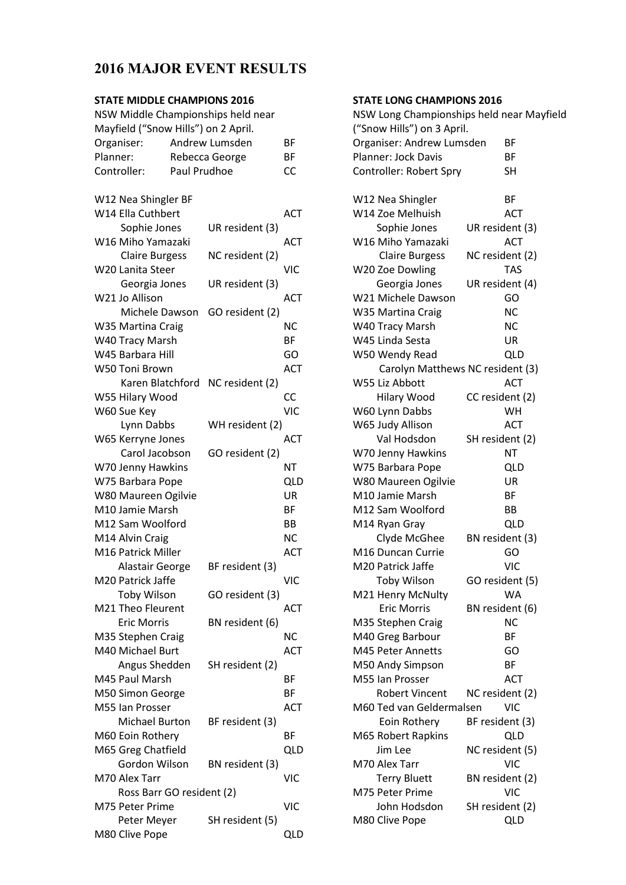# **2016 MAJOR EVENT RESULTS**

#### **STATE MIDDLE CHAMPIONS 2016**

| Mayfield ("Snow Hills") on 2 April.<br>Organiser:<br>Andrew Lumsden<br>ВF<br>Planner:<br><b>BF</b><br>Rebecca George<br>Controller:<br>CC<br>Paul Prudhoe<br>W12 Nea Shingler BF<br>W14 Ella Cuthbert<br>ACT<br>Sophie Jones<br>UR resident (3)<br>W16 Miho Yamazaki<br><b>ACT</b><br><b>Claire Burgess</b><br>NC resident (2)<br>W20 Lanita Steer<br>VIC<br>UR resident (3)<br>Georgia Jones<br>W21 Jo Allison<br>ACT<br>Michele Dawson<br>GO resident (2)<br><b>NC</b><br>W35 Martina Craig<br>W40 Tracy Marsh<br><b>BF</b><br>W45 Barbara Hill<br>GO<br>W50 Toni Brown<br>ACT<br>Karen Blatchford NC resident (2)<br>W55 Hilary Wood<br>CC<br><b>VIC</b><br>W60 Sue Key<br>WH resident (2)<br>Lynn Dabbs<br>W65 Kerryne Jones<br>ACT<br>Carol Jacobson<br>GO resident (2)<br>NT<br>W70 Jenny Hawkins<br>W75 Barbara Pope<br><b>QLD</b><br>W80 Maureen Ogilvie<br>UR<br>M10 Jamie Marsh<br><b>BF</b><br>M12 Sam Woolford<br>BB<br>M14 Alvin Craig<br>NС<br>M16 Patrick Miller<br>ACT<br>Alastair George<br>BF resident (3)<br>M20 Patrick Jaffe<br>VIC<br><b>Toby Wilson</b><br>GO resident (3)<br>M21 Theo Fleurent<br>ACT<br><b>Eric Morris</b><br>BN resident (6)<br>M35 Stephen Craig<br>NС<br>M40 Michael Burt<br><b>ACT</b><br>Angus Shedden<br>SH resident (2)<br>M45 Paul Marsh<br>BF<br>BF<br>M50 Simon George<br>M55 Ian Prosser<br>ACT<br>Michael Burton<br>BF resident (3)<br><b>BF</b><br>M60 Eoin Rothery<br>M65 Greg Chatfield<br><b>QLD</b><br>Gordon Wilson<br>BN resident (3)<br>I<br>M70 Alex Tarr<br><b>VIC</b><br>Ross Barr GO resident (2)<br>M75 Peter Prime<br><b>VIC</b><br>SH resident (5)<br>Peter Meyer<br>I | NSW Middle Championships held near |  |  |  |  |
|--------------------------------------------------------------------------------------------------------------------------------------------------------------------------------------------------------------------------------------------------------------------------------------------------------------------------------------------------------------------------------------------------------------------------------------------------------------------------------------------------------------------------------------------------------------------------------------------------------------------------------------------------------------------------------------------------------------------------------------------------------------------------------------------------------------------------------------------------------------------------------------------------------------------------------------------------------------------------------------------------------------------------------------------------------------------------------------------------------------------------------------------------------------------------------------------------------------------------------------------------------------------------------------------------------------------------------------------------------------------------------------------------------------------------------------------------------------------------------------------------------------------------------------------------------------------------------------------------------------------------------------------|------------------------------------|--|--|--|--|
|                                                                                                                                                                                                                                                                                                                                                                                                                                                                                                                                                                                                                                                                                                                                                                                                                                                                                                                                                                                                                                                                                                                                                                                                                                                                                                                                                                                                                                                                                                                                                                                                                                            |                                    |  |  |  |  |
|                                                                                                                                                                                                                                                                                                                                                                                                                                                                                                                                                                                                                                                                                                                                                                                                                                                                                                                                                                                                                                                                                                                                                                                                                                                                                                                                                                                                                                                                                                                                                                                                                                            |                                    |  |  |  |  |
|                                                                                                                                                                                                                                                                                                                                                                                                                                                                                                                                                                                                                                                                                                                                                                                                                                                                                                                                                                                                                                                                                                                                                                                                                                                                                                                                                                                                                                                                                                                                                                                                                                            |                                    |  |  |  |  |
|                                                                                                                                                                                                                                                                                                                                                                                                                                                                                                                                                                                                                                                                                                                                                                                                                                                                                                                                                                                                                                                                                                                                                                                                                                                                                                                                                                                                                                                                                                                                                                                                                                            |                                    |  |  |  |  |
|                                                                                                                                                                                                                                                                                                                                                                                                                                                                                                                                                                                                                                                                                                                                                                                                                                                                                                                                                                                                                                                                                                                                                                                                                                                                                                                                                                                                                                                                                                                                                                                                                                            |                                    |  |  |  |  |
|                                                                                                                                                                                                                                                                                                                                                                                                                                                                                                                                                                                                                                                                                                                                                                                                                                                                                                                                                                                                                                                                                                                                                                                                                                                                                                                                                                                                                                                                                                                                                                                                                                            |                                    |  |  |  |  |
|                                                                                                                                                                                                                                                                                                                                                                                                                                                                                                                                                                                                                                                                                                                                                                                                                                                                                                                                                                                                                                                                                                                                                                                                                                                                                                                                                                                                                                                                                                                                                                                                                                            |                                    |  |  |  |  |
|                                                                                                                                                                                                                                                                                                                                                                                                                                                                                                                                                                                                                                                                                                                                                                                                                                                                                                                                                                                                                                                                                                                                                                                                                                                                                                                                                                                                                                                                                                                                                                                                                                            |                                    |  |  |  |  |
|                                                                                                                                                                                                                                                                                                                                                                                                                                                                                                                                                                                                                                                                                                                                                                                                                                                                                                                                                                                                                                                                                                                                                                                                                                                                                                                                                                                                                                                                                                                                                                                                                                            |                                    |  |  |  |  |
|                                                                                                                                                                                                                                                                                                                                                                                                                                                                                                                                                                                                                                                                                                                                                                                                                                                                                                                                                                                                                                                                                                                                                                                                                                                                                                                                                                                                                                                                                                                                                                                                                                            |                                    |  |  |  |  |
|                                                                                                                                                                                                                                                                                                                                                                                                                                                                                                                                                                                                                                                                                                                                                                                                                                                                                                                                                                                                                                                                                                                                                                                                                                                                                                                                                                                                                                                                                                                                                                                                                                            |                                    |  |  |  |  |
|                                                                                                                                                                                                                                                                                                                                                                                                                                                                                                                                                                                                                                                                                                                                                                                                                                                                                                                                                                                                                                                                                                                                                                                                                                                                                                                                                                                                                                                                                                                                                                                                                                            |                                    |  |  |  |  |
|                                                                                                                                                                                                                                                                                                                                                                                                                                                                                                                                                                                                                                                                                                                                                                                                                                                                                                                                                                                                                                                                                                                                                                                                                                                                                                                                                                                                                                                                                                                                                                                                                                            |                                    |  |  |  |  |
|                                                                                                                                                                                                                                                                                                                                                                                                                                                                                                                                                                                                                                                                                                                                                                                                                                                                                                                                                                                                                                                                                                                                                                                                                                                                                                                                                                                                                                                                                                                                                                                                                                            |                                    |  |  |  |  |
|                                                                                                                                                                                                                                                                                                                                                                                                                                                                                                                                                                                                                                                                                                                                                                                                                                                                                                                                                                                                                                                                                                                                                                                                                                                                                                                                                                                                                                                                                                                                                                                                                                            |                                    |  |  |  |  |
|                                                                                                                                                                                                                                                                                                                                                                                                                                                                                                                                                                                                                                                                                                                                                                                                                                                                                                                                                                                                                                                                                                                                                                                                                                                                                                                                                                                                                                                                                                                                                                                                                                            |                                    |  |  |  |  |
|                                                                                                                                                                                                                                                                                                                                                                                                                                                                                                                                                                                                                                                                                                                                                                                                                                                                                                                                                                                                                                                                                                                                                                                                                                                                                                                                                                                                                                                                                                                                                                                                                                            |                                    |  |  |  |  |
|                                                                                                                                                                                                                                                                                                                                                                                                                                                                                                                                                                                                                                                                                                                                                                                                                                                                                                                                                                                                                                                                                                                                                                                                                                                                                                                                                                                                                                                                                                                                                                                                                                            |                                    |  |  |  |  |
|                                                                                                                                                                                                                                                                                                                                                                                                                                                                                                                                                                                                                                                                                                                                                                                                                                                                                                                                                                                                                                                                                                                                                                                                                                                                                                                                                                                                                                                                                                                                                                                                                                            |                                    |  |  |  |  |
|                                                                                                                                                                                                                                                                                                                                                                                                                                                                                                                                                                                                                                                                                                                                                                                                                                                                                                                                                                                                                                                                                                                                                                                                                                                                                                                                                                                                                                                                                                                                                                                                                                            |                                    |  |  |  |  |
|                                                                                                                                                                                                                                                                                                                                                                                                                                                                                                                                                                                                                                                                                                                                                                                                                                                                                                                                                                                                                                                                                                                                                                                                                                                                                                                                                                                                                                                                                                                                                                                                                                            |                                    |  |  |  |  |
|                                                                                                                                                                                                                                                                                                                                                                                                                                                                                                                                                                                                                                                                                                                                                                                                                                                                                                                                                                                                                                                                                                                                                                                                                                                                                                                                                                                                                                                                                                                                                                                                                                            |                                    |  |  |  |  |
|                                                                                                                                                                                                                                                                                                                                                                                                                                                                                                                                                                                                                                                                                                                                                                                                                                                                                                                                                                                                                                                                                                                                                                                                                                                                                                                                                                                                                                                                                                                                                                                                                                            |                                    |  |  |  |  |
|                                                                                                                                                                                                                                                                                                                                                                                                                                                                                                                                                                                                                                                                                                                                                                                                                                                                                                                                                                                                                                                                                                                                                                                                                                                                                                                                                                                                                                                                                                                                                                                                                                            |                                    |  |  |  |  |
|                                                                                                                                                                                                                                                                                                                                                                                                                                                                                                                                                                                                                                                                                                                                                                                                                                                                                                                                                                                                                                                                                                                                                                                                                                                                                                                                                                                                                                                                                                                                                                                                                                            |                                    |  |  |  |  |
|                                                                                                                                                                                                                                                                                                                                                                                                                                                                                                                                                                                                                                                                                                                                                                                                                                                                                                                                                                                                                                                                                                                                                                                                                                                                                                                                                                                                                                                                                                                                                                                                                                            |                                    |  |  |  |  |
|                                                                                                                                                                                                                                                                                                                                                                                                                                                                                                                                                                                                                                                                                                                                                                                                                                                                                                                                                                                                                                                                                                                                                                                                                                                                                                                                                                                                                                                                                                                                                                                                                                            |                                    |  |  |  |  |
|                                                                                                                                                                                                                                                                                                                                                                                                                                                                                                                                                                                                                                                                                                                                                                                                                                                                                                                                                                                                                                                                                                                                                                                                                                                                                                                                                                                                                                                                                                                                                                                                                                            |                                    |  |  |  |  |
|                                                                                                                                                                                                                                                                                                                                                                                                                                                                                                                                                                                                                                                                                                                                                                                                                                                                                                                                                                                                                                                                                                                                                                                                                                                                                                                                                                                                                                                                                                                                                                                                                                            |                                    |  |  |  |  |
|                                                                                                                                                                                                                                                                                                                                                                                                                                                                                                                                                                                                                                                                                                                                                                                                                                                                                                                                                                                                                                                                                                                                                                                                                                                                                                                                                                                                                                                                                                                                                                                                                                            |                                    |  |  |  |  |
|                                                                                                                                                                                                                                                                                                                                                                                                                                                                                                                                                                                                                                                                                                                                                                                                                                                                                                                                                                                                                                                                                                                                                                                                                                                                                                                                                                                                                                                                                                                                                                                                                                            |                                    |  |  |  |  |
|                                                                                                                                                                                                                                                                                                                                                                                                                                                                                                                                                                                                                                                                                                                                                                                                                                                                                                                                                                                                                                                                                                                                                                                                                                                                                                                                                                                                                                                                                                                                                                                                                                            |                                    |  |  |  |  |
|                                                                                                                                                                                                                                                                                                                                                                                                                                                                                                                                                                                                                                                                                                                                                                                                                                                                                                                                                                                                                                                                                                                                                                                                                                                                                                                                                                                                                                                                                                                                                                                                                                            |                                    |  |  |  |  |
|                                                                                                                                                                                                                                                                                                                                                                                                                                                                                                                                                                                                                                                                                                                                                                                                                                                                                                                                                                                                                                                                                                                                                                                                                                                                                                                                                                                                                                                                                                                                                                                                                                            |                                    |  |  |  |  |
|                                                                                                                                                                                                                                                                                                                                                                                                                                                                                                                                                                                                                                                                                                                                                                                                                                                                                                                                                                                                                                                                                                                                                                                                                                                                                                                                                                                                                                                                                                                                                                                                                                            |                                    |  |  |  |  |
|                                                                                                                                                                                                                                                                                                                                                                                                                                                                                                                                                                                                                                                                                                                                                                                                                                                                                                                                                                                                                                                                                                                                                                                                                                                                                                                                                                                                                                                                                                                                                                                                                                            |                                    |  |  |  |  |
|                                                                                                                                                                                                                                                                                                                                                                                                                                                                                                                                                                                                                                                                                                                                                                                                                                                                                                                                                                                                                                                                                                                                                                                                                                                                                                                                                                                                                                                                                                                                                                                                                                            |                                    |  |  |  |  |
|                                                                                                                                                                                                                                                                                                                                                                                                                                                                                                                                                                                                                                                                                                                                                                                                                                                                                                                                                                                                                                                                                                                                                                                                                                                                                                                                                                                                                                                                                                                                                                                                                                            |                                    |  |  |  |  |
|                                                                                                                                                                                                                                                                                                                                                                                                                                                                                                                                                                                                                                                                                                                                                                                                                                                                                                                                                                                                                                                                                                                                                                                                                                                                                                                                                                                                                                                                                                                                                                                                                                            |                                    |  |  |  |  |
|                                                                                                                                                                                                                                                                                                                                                                                                                                                                                                                                                                                                                                                                                                                                                                                                                                                                                                                                                                                                                                                                                                                                                                                                                                                                                                                                                                                                                                                                                                                                                                                                                                            |                                    |  |  |  |  |
|                                                                                                                                                                                                                                                                                                                                                                                                                                                                                                                                                                                                                                                                                                                                                                                                                                                                                                                                                                                                                                                                                                                                                                                                                                                                                                                                                                                                                                                                                                                                                                                                                                            |                                    |  |  |  |  |
|                                                                                                                                                                                                                                                                                                                                                                                                                                                                                                                                                                                                                                                                                                                                                                                                                                                                                                                                                                                                                                                                                                                                                                                                                                                                                                                                                                                                                                                                                                                                                                                                                                            |                                    |  |  |  |  |
|                                                                                                                                                                                                                                                                                                                                                                                                                                                                                                                                                                                                                                                                                                                                                                                                                                                                                                                                                                                                                                                                                                                                                                                                                                                                                                                                                                                                                                                                                                                                                                                                                                            |                                    |  |  |  |  |
|                                                                                                                                                                                                                                                                                                                                                                                                                                                                                                                                                                                                                                                                                                                                                                                                                                                                                                                                                                                                                                                                                                                                                                                                                                                                                                                                                                                                                                                                                                                                                                                                                                            |                                    |  |  |  |  |
|                                                                                                                                                                                                                                                                                                                                                                                                                                                                                                                                                                                                                                                                                                                                                                                                                                                                                                                                                                                                                                                                                                                                                                                                                                                                                                                                                                                                                                                                                                                                                                                                                                            |                                    |  |  |  |  |
|                                                                                                                                                                                                                                                                                                                                                                                                                                                                                                                                                                                                                                                                                                                                                                                                                                                                                                                                                                                                                                                                                                                                                                                                                                                                                                                                                                                                                                                                                                                                                                                                                                            |                                    |  |  |  |  |
|                                                                                                                                                                                                                                                                                                                                                                                                                                                                                                                                                                                                                                                                                                                                                                                                                                                                                                                                                                                                                                                                                                                                                                                                                                                                                                                                                                                                                                                                                                                                                                                                                                            |                                    |  |  |  |  |
|                                                                                                                                                                                                                                                                                                                                                                                                                                                                                                                                                                                                                                                                                                                                                                                                                                                                                                                                                                                                                                                                                                                                                                                                                                                                                                                                                                                                                                                                                                                                                                                                                                            |                                    |  |  |  |  |
|                                                                                                                                                                                                                                                                                                                                                                                                                                                                                                                                                                                                                                                                                                                                                                                                                                                                                                                                                                                                                                                                                                                                                                                                                                                                                                                                                                                                                                                                                                                                                                                                                                            |                                    |  |  |  |  |
|                                                                                                                                                                                                                                                                                                                                                                                                                                                                                                                                                                                                                                                                                                                                                                                                                                                                                                                                                                                                                                                                                                                                                                                                                                                                                                                                                                                                                                                                                                                                                                                                                                            |                                    |  |  |  |  |
| M80 Clive Pope<br><b>QLD</b>                                                                                                                                                                                                                                                                                                                                                                                                                                                                                                                                                                                                                                                                                                                                                                                                                                                                                                                                                                                                                                                                                                                                                                                                                                                                                                                                                                                                                                                                                                                                                                                                               |                                    |  |  |  |  |

## **STATE LONG CHAMPIONS 2016**

| NSW Long Championships held near Mayfield |                 |
|-------------------------------------------|-----------------|
| ("Snow Hills") on 3 April.                |                 |
| Organiser: Andrew Lumsden                 | ΒF              |
| Planner: Jock Davis                       | <b>BF</b>       |
| Controller: Robert Spry                   | SH              |
|                                           |                 |
| W12 Nea Shingler                          | ΒF              |
| W14 Zoe Melhuish                          | ACT             |
| Sophie Jones                              | UR resident (3) |
| W16 Miho Yamazaki                         | <b>ACT</b>      |
| <b>Claire Burgess</b>                     | NC resident (2) |
| W20 Zoe Dowling                           | <b>TAS</b>      |
| Georgia Jones                             | UR resident (4) |
| W21 Michele Dawson                        | GO              |
| W35 Martina Craig                         | NС              |
| W40 Tracy Marsh                           | NС              |
| W45 Linda Sesta                           | UR              |
| W50 Wendy Read                            | QLD             |
| Carolyn Matthews NC resident (3)          |                 |
| W55 Liz Abbott                            | <b>ACT</b>      |
| Hilary Wood                               | CC resident (2) |
| W60 Lynn Dabbs                            | WH              |
| W65 Judy Allison                          | ACT             |
| Val Hodsdon                               | SH resident (2) |
| W70 Jenny Hawkins                         | ΝT              |
| W75 Barbara Pope                          | QLD             |
| W80 Maureen Ogilvie                       | UR              |
| M10 Jamie Marsh                           | BF              |
| M12 Sam Woolford                          | BB              |
| M14 Ryan Gray                             | QLD             |
| Clyde McGhee                              | BN resident (3) |
| M16 Duncan Currie                         | GO              |
| M20 Patrick Jaffe                         | VIC             |
| <b>Toby Wilson</b>                        | GO resident (5) |
| M21 Henry McNulty                         | WA              |
| <b>Eric Morris</b>                        | BN resident (6) |
| M35 Stephen Craig                         | NС              |
| M40 Greg Barbour                          | ВF              |
| M45 Peter Annetts                         | GO              |
| M50 Andy Simpson                          | BF              |
| M55 Ian Prosser                           | ACT             |
| Robert Vincent                            | NC resident (2) |
| M60 Ted van Geldermalsen                  | VIC             |
| Eoin Rothery                              | BF resident (3) |
| M65 Robert Rapkins                        | <b>QLD</b>      |
| Jim Lee                                   | NC resident (5) |
| M70 Alex Tarr                             | VIC             |
| <b>Terry Bluett</b>                       | BN resident (2) |
| M75 Peter Prime                           | VIC             |
| John Hodsdon                              | SH resident (2) |
| M80 Clive Pope                            | <b>QLD</b>      |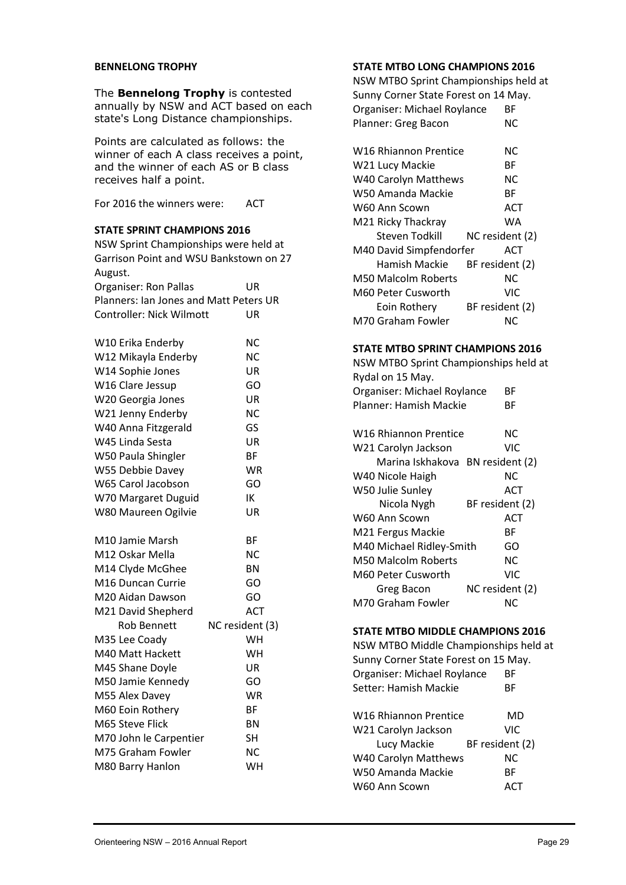#### **BENNELONG TROPHY**

The **Bennelong Trophy** is contested annually by NSW and ACT based on each state's Long Distance championships.

Points are calculated as follows: the winner of each A class receives a point, and the winner of each AS or B class receives half a point.

For 2016 the winners were: ACT

## **STATE SPRINT CHAMPIONS 2016**

| JIAIL JI<br>MINI LAAMPIUNJ ZUID                                                 |                 |  |  |  |
|---------------------------------------------------------------------------------|-----------------|--|--|--|
| NSW Sprint Championships were held at<br>Garrison Point and WSU Bankstown on 27 |                 |  |  |  |
| August.                                                                         |                 |  |  |  |
| <b>Organiser: Ron Pallas</b>                                                    | UR              |  |  |  |
| Planners: Ian Jones and Matt Peters UR                                          |                 |  |  |  |
| Controller: Nick Wilmott                                                        | UR              |  |  |  |
|                                                                                 |                 |  |  |  |
| W10 Erika Enderby                                                               | <b>NC</b>       |  |  |  |
| W12 Mikayla Enderby                                                             | NC              |  |  |  |
| W14 Sophie Jones                                                                | UR              |  |  |  |
| W16 Clare Jessup                                                                | GO              |  |  |  |
| W20 Georgia Jones                                                               | UR              |  |  |  |
| W21 Jenny Enderby                                                               | NC              |  |  |  |
| W40 Anna Fitzgerald                                                             | GS              |  |  |  |
| W45 Linda Sesta                                                                 | UR              |  |  |  |
| W50 Paula Shingler                                                              | BF              |  |  |  |
| W55 Debbie Davey                                                                | WR              |  |  |  |
| W65 Carol Jacobson                                                              | GO              |  |  |  |
| W70 Margaret Duguid                                                             | IΚ              |  |  |  |
| W80 Maureen Ogilvie                                                             | UR              |  |  |  |
|                                                                                 |                 |  |  |  |
| M10 Jamie Marsh                                                                 | ΒF              |  |  |  |
| M12 Oskar Mella                                                                 | NС              |  |  |  |
| M14 Clyde McGhee                                                                | ΒN              |  |  |  |
| M16 Duncan Currie                                                               | GO              |  |  |  |
| M20 Aidan Dawson                                                                | GO              |  |  |  |
| M21 David Shepherd                                                              | ACT             |  |  |  |
| Rob Bennett                                                                     | NC resident (3) |  |  |  |
| M35 Lee Coady                                                                   | WН              |  |  |  |
| M40 Matt Hackett                                                                | WН              |  |  |  |
| M45 Shane Doyle                                                                 | UR              |  |  |  |
| M50 Jamie Kennedy                                                               | GO              |  |  |  |
| M55 Alex Davey                                                                  | WR              |  |  |  |
| M60 Eoin Rothery                                                                | ВF              |  |  |  |
| M65 Steve Flick                                                                 | ΒN              |  |  |  |
| M70 John le Carpentier                                                          | SH              |  |  |  |
| M75 Graham Fowler                                                               | NC              |  |  |  |
| M80 Barry Hanlon                                                                | WН              |  |  |  |

#### **STATE MTBO LONG CHAMPIONS 2016**

NSW MTBO Sprint Championships held at Sunny Corner State Forest on 14 May. Organiser: Michael Roylance BF Planner: Greg Bacon NC

| W16 Rhiannon Prentice<br>NC.   |
|--------------------------------|
| ВF                             |
| W40 Carolyn Matthews<br>NC.    |
| ВF                             |
| ACT                            |
| WA                             |
| NC resident (2)                |
| M40 David Simpfendorfer<br>ACT |
| Hamish Mackie BF resident (2)  |
| ΝC                             |
| VIC                            |
| BF resident (2)                |
| NC.                            |
|                                |

#### **STATE MTBO SPRINT CHAMPIONS 2016**

| NSW MTBO Sprint Championships held at |                 |  |  |  |
|---------------------------------------|-----------------|--|--|--|
| Rydal on 15 May.                      |                 |  |  |  |
| Organiser: Michael Roylance           | ВF              |  |  |  |
| Planner: Hamish Mackie                | ВF              |  |  |  |
|                                       |                 |  |  |  |
| W16 Rhiannon Prentice                 | ΝC              |  |  |  |
| W21 Carolyn Jackson                   | VIC             |  |  |  |
| Marina Iskhakova BN resident (2)      |                 |  |  |  |
| W40 Nicole Haigh                      | NC.             |  |  |  |
| W50 Julie Sunley                      | ACT             |  |  |  |
| Nicola Nygh                           | BF resident (2) |  |  |  |
| W60 Ann Scown                         | ACT             |  |  |  |
| M21 Fergus Mackie                     | ВF              |  |  |  |
| M40 Michael Ridley-Smith              | GO              |  |  |  |
| M50 Malcolm Roberts                   | <b>NC</b>       |  |  |  |
| M60 Peter Cusworth                    | VIC             |  |  |  |
| Greg Bacon                            | NC resident (2) |  |  |  |
| M70 Graham Fowler                     | ΝC              |  |  |  |
|                                       |                 |  |  |  |

#### **STATE MTBO MIDDLE CHAMPIONS 2016**

NSW MTBO Middle Championships held at Sunny Corner State Forest on 15 May. Organiser: Michael Roylance BF Setter: Hamish Mackie BF W16 Rhiannon Prentice MD W21 Carolyn Jackson VIC Lucy Mackie BF resident (2) W40 Carolyn Matthews NC W50 Amanda Mackie BF W60 Ann Scown ACT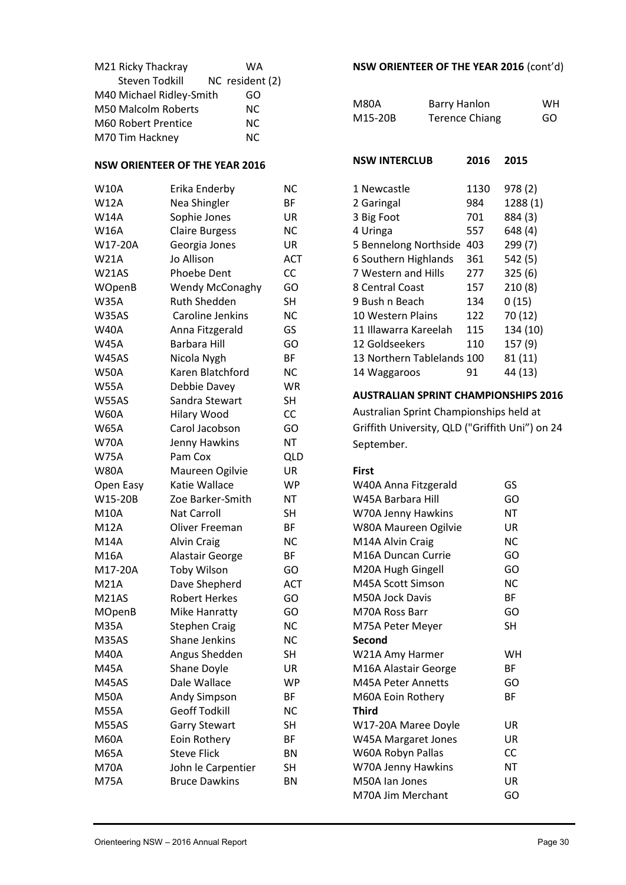| M21 Ricky Thackray       | WA              |
|--------------------------|-----------------|
| Steven Todkill           | NC resident (2) |
| M40 Michael Ridley-Smith | GO              |
| M50 Malcolm Roberts      | NC.             |
| M60 Robert Prentice      | NC.             |
| M70 Tim Hackney          | NC.             |

#### **NSW ORIENTEER OF THE YEAR 2016**

| <b>W10A</b>   | Erika Enderby          | <b>NC</b>  |   |
|---------------|------------------------|------------|---|
| <b>W12A</b>   | Nea Shingler           | ВF         |   |
| <b>W14A</b>   | Sophie Jones           | UR         |   |
| <b>W16A</b>   | <b>Claire Burgess</b>  | <b>NC</b>  |   |
| W17-20A       | Georgia Jones          | UR         |   |
| <b>W21A</b>   | Jo Allison             | <b>ACT</b> |   |
| W21AS         | <b>Phoebe Dent</b>     | CC         |   |
| WOpenB        | <b>Wendy McConaghy</b> | GO         | Ş |
| <b>W35A</b>   | <b>Ruth Shedden</b>    | <b>SH</b>  | ί |
| W35AS         | Caroline Jenkins       | <b>NC</b>  |   |
| <b>W40A</b>   | Anna Fitzgerald        | GS         |   |
| <b>W45A</b>   | <b>Barbara Hill</b>    | GO         |   |
| W45AS         | Nicola Nygh            | BF         |   |
| <b>W50A</b>   | Karen Blatchford       | NС         |   |
| <b>W55A</b>   | Debbie Davey           | WR         |   |
| W55AS         | Sandra Stewart         | SΗ         |   |
| <b>W60A</b>   | Hilary Wood            | CC         |   |
| <b>W65A</b>   | Carol Jacobson         | GO         | ( |
| <b>W70A</b>   | Jenny Hawkins          | NT         |   |
| <b>W75A</b>   | Pam Cox                | <b>QLD</b> |   |
| <b>W80A</b>   | Maureen Ogilvie        | UR         |   |
| Open Easy     | Katie Wallace          | WP         |   |
| W15-20B       | Zoe Barker-Smith       | NT         |   |
| <b>M10A</b>   | <b>Nat Carroll</b>     | <b>SH</b>  |   |
| <b>M12A</b>   | Oliver Freeman         | BF         |   |
| <b>M14A</b>   | <b>Alvin Craig</b>     | <b>NC</b>  |   |
| M16A          | Alastair George        | ΒF         |   |
| M17-20A       | <b>Toby Wilson</b>     | GO         |   |
| <b>M21A</b>   | Dave Shepherd          | <b>ACT</b> |   |
| M21AS         | <b>Robert Herkes</b>   | GO         |   |
| <b>MOpenB</b> | Mike Hanratty          | GO         |   |
| <b>M35A</b>   | <b>Stephen Craig</b>   | <b>NC</b>  |   |
| M35AS         | Shane Jenkins          | <b>NC</b>  |   |
| <b>M40A</b>   | Angus Shedden          | SH         |   |
| <b>M45A</b>   | Shane Doyle            | UR         |   |
| M45AS         | Dale Wallace           | WP         |   |
| <b>M50A</b>   | Andy Simpson           | BF         |   |
| <b>M55A</b>   | <b>Geoff Todkill</b>   | <b>NC</b>  |   |
| M55AS         | <b>Garry Stewart</b>   | <b>SH</b>  |   |
| <b>M60A</b>   | Eoin Rothery           | BF         |   |
| <b>M65A</b>   | <b>Steve Flick</b>     | BN         |   |
| <b>M70A</b>   | John le Carpentier     | SΗ         |   |
| <b>M75A</b>   | <b>Bruce Dawkins</b>   | <b>BN</b>  |   |
|               |                        |            |   |

## **NSW ORIENTEER OF THE YEAR 2016** (cont'd)

| M80A    | <b>Barry Hanlon</b>   | WН |
|---------|-----------------------|----|
| M15-20B | <b>Terence Chiang</b> | GO |

| <b>NSW INTERCLUB</b>       | 2016 | 2015     |
|----------------------------|------|----------|
| 1 Newcastle                | 1130 | 978 (2)  |
| 2 Garingal                 | 984  | 1288 (1) |
| 3 Big Foot                 | 701  | 884 (3)  |
| 4 Uringa                   | 557  | 648 (4)  |
| 5 Bennelong Northside      | 403  | 299 (7)  |
| 6 Southern Highlands       | 361  | 542 (5)  |
| 7 Western and Hills        | 277  | 325(6)   |
| 8 Central Coast            | 157  | 210(8)   |
| 9 Bush n Beach             | 134  | 0(15)    |
| 10 Western Plains          | 122  | 70 (12)  |
| 11 Illawarra Kareelah      | 115  | 134 (10) |
| 12 Goldseekers             | 110  | 157 (9)  |
| 13 Northern Tablelands 100 |      | 81 (11)  |
| 14 Waggaroos               | 91   | 44 (13)  |

#### **AUSTRALIAN SPRINT CHAMPIONSHIPS 2016**

Australian Sprint Championships held at Griffith University, QLD ("Griffith Uni") on 24 September.

#### **First**

| W40A Anna Fitzgerald | GS        |  |
|----------------------|-----------|--|
| W45A Barbara Hill    | GO        |  |
| W70A Jenny Hawkins   | NT        |  |
| W80A Maureen Ogilvie | UR        |  |
| M14A Alvin Craig     | NC.       |  |
| M16A Duncan Currie   | GO        |  |
| M20A Hugh Gingell    | GO        |  |
| M45A Scott Simson    | NC.       |  |
| M50A Jock Davis      | ВF        |  |
| M70A Ross Barr       | GO        |  |
| M75A Peter Meyer     | SH        |  |
| Second               |           |  |
| W21A Amy Harmer      | WН        |  |
| M16A Alastair George | ВF        |  |
| M45A Peter Annetts   | GO        |  |
| M60A Eoin Rothery    | ВF        |  |
| Third                |           |  |
| W17-20A Maree Doyle  | UR        |  |
| W45A Margaret Jones  | UR        |  |
| W60A Robyn Pallas    | CC        |  |
| W70A Jenny Hawkins   | <b>NT</b> |  |
| M50A Jan Jones       | UR        |  |
| M70A Jim Merchant    | GO        |  |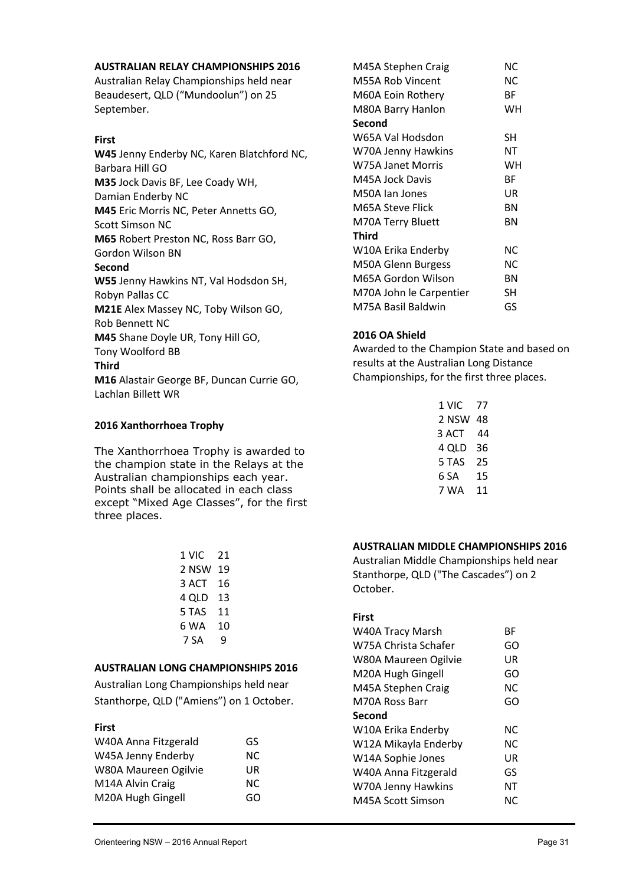#### **AUSTRALIAN RELAY CHAMPIONSHIPS 2016**

Australian Relay Championships held near Beaudesert, QLD ("Mundoolun") on 25 September.

#### **First**

**W45** Jenny Enderby NC, Karen Blatchford NC, Barbara Hill GO **M35** Jock Davis BF, Lee Coady WH, Damian Enderby NC **M45** Eric Morris NC, Peter Annetts GO, Scott Simson NC **M65** Robert Preston NC, Ross Barr GO, Gordon Wilson BN **Second W55** Jenny Hawkins NT, Val Hodsdon SH, Robyn Pallas CC **M21E** Alex Massey NC, Toby Wilson GO, Rob Bennett NC **M45** Shane Doyle UR, Tony Hill GO, Tony Woolford BB **Third M16** Alastair George BF, Duncan Currie GO,

Lachlan Billett WR

#### **2016 Xanthorrhoea Trophy**

The Xanthorrhoea Trophy is awarded to the champion state in the Relays at the Australian championships each year. Points shall be allocated in each class except "Mixed Age Classes", for the first three places.

| 1 VIC 21 |   |  |  |
|----------|---|--|--|
| 2 NSW 19 |   |  |  |
| 3 ACT 16 |   |  |  |
| 4 QLD 13 |   |  |  |
| 5 TAS 11 |   |  |  |
| 6 WA 10  |   |  |  |
| 7 SA     | q |  |  |
|          |   |  |  |

#### **AUSTRALIAN LONG CHAMPIONSHIPS 2016**

Australian Long Championships held near Stanthorpe, QLD ("Amiens") on 1 October.

#### **First**

| W40A Anna Fitzgerald | GS  |  |
|----------------------|-----|--|
| W45A Jenny Enderby   | NC. |  |
| W80A Maureen Ogilvie | UR  |  |
| M14A Alvin Craig     | NC. |  |
| M20A Hugh Gingell    | GO  |  |

| M45A Stephen Craig      | ΝC |
|-------------------------|----|
| M55A Rob Vincent        | ΝC |
| M60A Eoin Rothery       | ВF |
| M80A Barry Hanlon       | WН |
| Second                  |    |
| W65A Val Hodsdon        | SH |
| W70A Jenny Hawkins      | NΤ |
| W75A Janet Morris       | WН |
| M45A Jock Davis         | ВF |
| M50A Jan Jones          | UR |
| M65A Steve Flick        | ΒN |
| M70A Terry Bluett       | ΒN |
| <b>Third</b>            |    |
| W10A Erika Enderby      | ΝC |
| M50A Glenn Burgess      | ΝC |
| M65A Gordon Wilson      | ΒN |
| M70A John le Carpentier | SН |
| M75A Basil Baldwin      | GS |

#### **2016 OA Shield**

Awarded to the Champion State and based on results at the Australian Long Distance Championships, for the first three places.

| 1 VIC 77 |    |  |  |
|----------|----|--|--|
| 2 NSW 48 |    |  |  |
| 3 ACT 44 |    |  |  |
| 4 QLD 36 |    |  |  |
| 5 TAS    | 25 |  |  |
| 6 SA     | 15 |  |  |
| 7 WA     | 11 |  |  |
|          |    |  |  |

#### **AUSTRALIAN MIDDLE CHAMPIONSHIPS 2016**

Australian Middle Championships held near Stanthorpe, QLD ("The Cascades") on 2 October.

#### **First**

| W40A Tracy Marsh     | ВF  |
|----------------------|-----|
| W75A Christa Schafer | GO  |
| W80A Maureen Ogilvie | UR  |
| M20A Hugh Gingell    | GO  |
| M45A Stephen Craig   | ΝC  |
| M70A Ross Barr       | GO  |
| Second               |     |
| W10A Erika Enderby   | NC. |
| W12A Mikayla Enderby | NC. |
| W14A Sophie Jones    | UR  |
| W40A Anna Fitzgerald | GS  |
| W70A Jenny Hawkins   | NΤ  |
| M45A Scott Simson    | NС  |
|                      |     |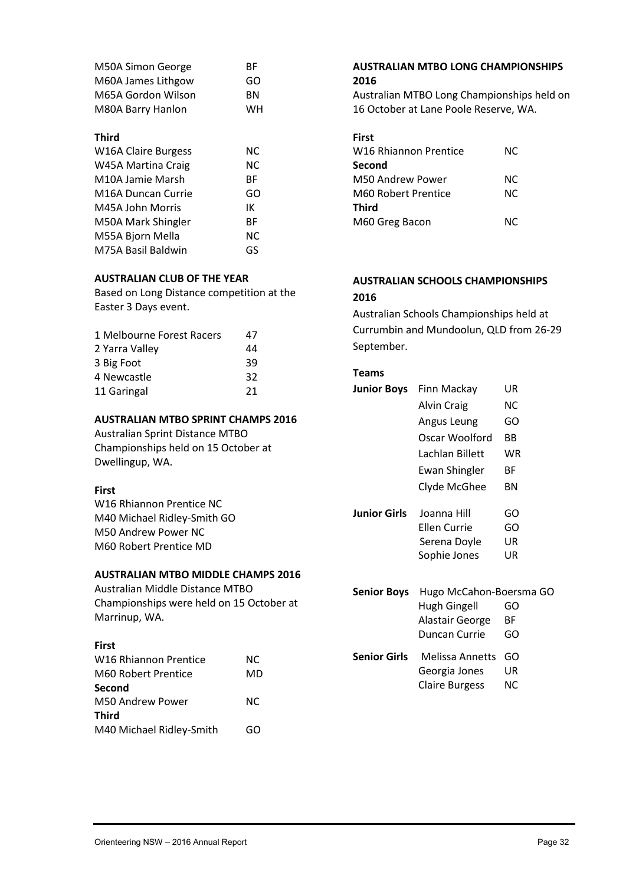| M50A Simon George  | ВF |
|--------------------|----|
| M60A James Lithgow | GO |
| M65A Gordon Wilson | ВN |
| M80A Barry Hanlon  | WН |

#### **Third**

| <b>W16A Claire Burgess</b>      | NC. |
|---------------------------------|-----|
| W45A Martina Craig              | NC. |
| M10A Jamie Marsh                | ВF  |
| M <sub>16</sub> A Duncan Currie | GO  |
| M45A John Morris                | IΚ  |
| M50A Mark Shingler              | ВF  |
| M55A Bjorn Mella                | NC. |
| M75A Basil Baldwin              | GS  |

#### **AUSTRALIAN CLUB OF THE YEAR**

Based on Long Distance competition at the Easter 3 Days event.

| 1 Melbourne Forest Racers | 47 |  |
|---------------------------|----|--|
| 2 Yarra Valley            | 44 |  |
| 3 Big Foot                | 39 |  |
| 4 Newcastle               | 32 |  |
| 11 Garingal               | 21 |  |

#### **AUSTRALIAN MTBO SPRINT CHAMPS 2016**

Australian Sprint Distance MTBO Championships held on 15 October at Dwellingup, WA.

#### **First**

W16 Rhiannon Prentice NC M40 Michael Ridley-Smith GO M50 Andrew Power NC M60 Robert Prentice MD

#### **AUSTRALIAN MTBO MIDDLE CHAMPS 2016**

Australian Middle Distance MTBO Championships were held on 15 October at Marrinup, WA.

## **First**

| W16 Rhiannon Prentice    | NC. |  |
|--------------------------|-----|--|
| M60 Robert Prentice      | MD  |  |
| Second                   |     |  |
| M50 Andrew Power         | NC. |  |
| Third                    |     |  |
| M40 Michael Ridley-Smith | GO  |  |

| <b>AUSTRALIAN MTBO LONG CHAMPIONSHIPS</b> |  |
|-------------------------------------------|--|
| 2016                                      |  |

Australian MTBO Long Championships held on 16 October at Lane Poole Reserve, WA.

| <b>First</b>                      |     |  |
|-----------------------------------|-----|--|
| W <sub>16</sub> Rhiannon Prentice | NC. |  |
| Second                            |     |  |
| M50 Andrew Power                  | NC. |  |
| M60 Robert Prentice               | NC. |  |
| <b>Third</b>                      |     |  |
| M60 Greg Bacon                    | ΝC  |  |
|                                   |     |  |

#### **AUSTRALIAN SCHOOLS CHAMPIONSHIPS 2016**

Australian Schools Championships held at Currumbin and Mundoolun, QLD from 26-29 September.

#### **Teams**

| Junior Boys  | Finn Mackay             | UR |
|--------------|-------------------------|----|
|              | Alvin Craig             | NС |
|              | Angus Leung             | GO |
|              | Oscar Woolford          | ВB |
|              | Lachlan Billett         | WR |
|              | <b>Ewan Shingler</b>    | ВF |
|              | Clyde McGhee            | ΒN |
| Junior Girls | Joanna Hill             | GO |
|              | Ellen Currie            | GO |
|              | Serena Doyle            | UR |
|              | Sophie Jones            | UR |
|              |                         |    |
| Senior Boys  | Hugo McCahon-Boersma GO |    |
|              | Hugh Gingell            | GO |

| <b>Jeffron DOVS</b> Truggo Miccarion-Doct Sina GO |     |
|---------------------------------------------------|-----|
| Hugh Gingell                                      | GO  |
| Alastair George                                   | ВF  |
| Duncan Currie                                     | GO  |
| <b>Senior Girls</b> Melissa Annetts GO            |     |
| Georgia Jones                                     | UR  |
| <b>Claire Burgess</b>                             | NC. |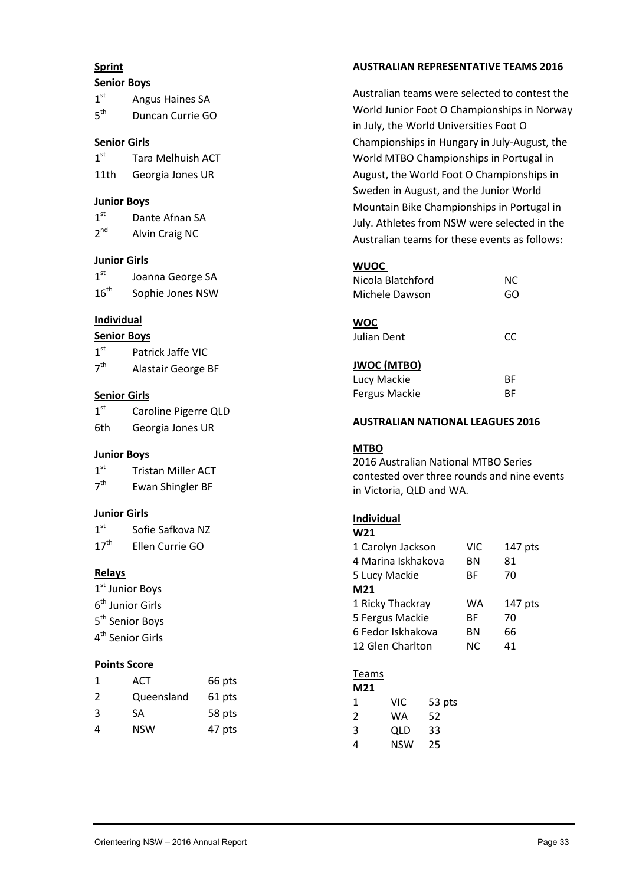#### **Sprint**

#### **Senior Boys**

| 1 <sup>st</sup> | Angus Haines SA  |
|-----------------|------------------|
| $5^{\text{th}}$ | Duncan Currie GO |

#### **Senior Girls**

| 1 <sup>st</sup> | <b>Tara Melhuish ACT</b> |
|-----------------|--------------------------|
| 11th            | Georgia Jones UR         |

#### **Junior Boys**

| 1 <sup>st</sup> | Dante Afnan SA |
|-----------------|----------------|
| 2 <sup>nd</sup> | Alvin Craig NC |

## **Junior Girls**

| 1 <sup>st</sup>  | Joanna George SA |
|------------------|------------------|
| $16^{\text{th}}$ | Sophie Jones NSW |

## **Individual**

#### **Senior Boys**

| 7 <sup>th</sup> | Alastair George BF |  |
|-----------------|--------------------|--|
|-----------------|--------------------|--|

## **Senior Girls**

| 1 <sup>st</sup> | Caroline Pigerre QLD |
|-----------------|----------------------|
| 6th             | Georgia Jones UR     |

## **Junior Boys**

| 1 <sup>st</sup> | <b>Tristan Miller ACT</b> |
|-----------------|---------------------------|
| 7 <sup>th</sup> | Ewan Shingler BF          |

## **Junior Girls**

| 1 <sup>st</sup>  | Sofie Safkova NZ |
|------------------|------------------|
| $17^{\text{th}}$ | Ellen Currie GO  |

## **Relays**

 $1^{\rm st}$  Junior Boys 6<sup>th</sup> Junior Girls 5<sup>th</sup> Senior Boys 4 th Senior Girls

## **Points Score**

| -1 | ACT        | 66 pts |
|----|------------|--------|
| 2  | Queensland | 61 pts |
| 3  | SA         | 58 pts |
| Δ  | <b>NSW</b> | 47 pts |

# **AUSTRALIAN REPRESENTATIVE TEAMS 2016**

Australian teams were selected to contest the World Junior Foot O Championships in Norway in July, the World Universities Foot O Championships in Hungary in July-August, the World MTBO Championships in Portugal in August, the World Foot O Championships in Sweden in August, and the Junior World Mountain Bike Championships in Portugal in July. Athletes from NSW were selected in the Australian teams for these events as follows:

## **WUOC**

| Nicola Blatchford    | ΝC |  |
|----------------------|----|--|
| Michele Dawson       | GO |  |
|                      |    |  |
| <b>WOC</b>           |    |  |
| Julian Dent          | CC |  |
|                      |    |  |
| <b>JWOC (MTBO)</b>   |    |  |
| Lucy Mackie          | ВF |  |
| <b>Fergus Mackie</b> | ВF |  |

## **AUSTRALIAN NATIONAL LEAGUES 2016**

## **MTBO**

2016 Australian National MTBO Series contested over three rounds and nine events in Victoria, QLD and WA.

#### **Individual W2134**

| WZI                |     |           |
|--------------------|-----|-----------|
| 1 Carolyn Jackson  | VIC | 147 pts   |
| 4 Marina Iskhakova | ΒN  | 81        |
| 5 Lucy Mackie      | ВF  | 70        |
| M21                |     |           |
| 1 Ricky Thackray   | WA  | $147$ pts |
| 5 Fergus Mackie    | ВF  | 70        |
| 6 Fedor Iskhakova  | ΒN  | 66        |
| 12 Glen Charlton   | NC. | 41        |
|                    |     |           |

#### Teams

| M21 |     |        |  |
|-----|-----|--------|--|
| 1   | VIC | 53 pts |  |
| 2   | WA  | 52     |  |
| 3   | QLD | 33     |  |
| 4   | NSW | 25     |  |
|     |     |        |  |